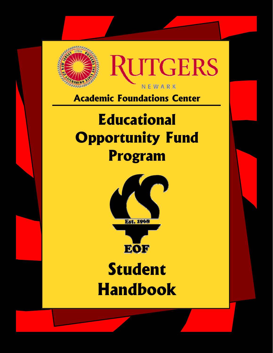

**Academic Foundations Center** 

# **Educational Opportunity Fund Program**



# **Student Handbook**

EOF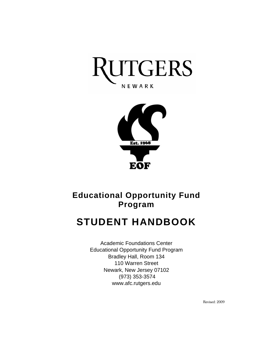



# **Educational Opportunity Fund Program**

# **STUDENT HANDBOOK**

Academic Foundations Center Educational Opportunity Fund Program Bradley Hall, Room 134 110 Warren Street Newark, New Jersey 07102 (973) 353-3574 www.afc.rutgers.edu

Revised: 2009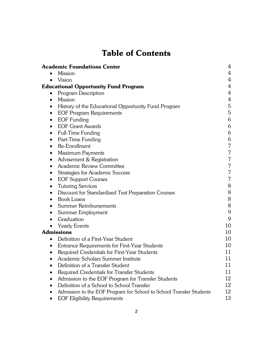# **Table of Contents**

|           | <b>Academic Foundations Center</b>                                  | 4              |
|-----------|---------------------------------------------------------------------|----------------|
| $\bullet$ | <b>Mission</b>                                                      | 4              |
| $\bullet$ | Vision                                                              | 4              |
|           | <b>Educational Opportunity Fund Program</b>                         | 4              |
| $\bullet$ | Program Description                                                 | $\overline{4}$ |
| $\bullet$ | <b>Mission</b>                                                      | 4              |
| $\bullet$ | History of the Educational Opportunity Fund Program                 | $\mathbf 5$    |
| $\bullet$ | <b>EOF Program Requirements</b>                                     | $\overline{5}$ |
| $\bullet$ | <b>EOF Funding</b>                                                  | 6              |
|           | <b>EOF Grant Awards</b>                                             | 6              |
| $\bullet$ | <b>Full-Time Funding</b>                                            | 6              |
| $\bullet$ | Part-Time Funding                                                   | 6              |
| ٠         | Re-Enrollment                                                       | 7              |
| $\bullet$ | <b>Maximum Payments</b>                                             | 7              |
| $\bullet$ | Advisement & Registration                                           | 7              |
| $\bullet$ | Academic Review Committee                                           | 7              |
| ٠         | <b>Strategies for Academic Success</b>                              | 7              |
| $\bullet$ | <b>EOF Support Courses</b>                                          | 7              |
| ٠         | <b>Tutoring Services</b>                                            | 8              |
| $\bullet$ | Discount for Standardized Test Preparation Courses                  | 8              |
|           | <b>Book Loans</b>                                                   | 8              |
|           | <b>Summer Reimbursements</b>                                        | 8              |
| $\bullet$ | Summer Employment                                                   | 9              |
| $\bullet$ | Graduation                                                          | 9              |
| $\bullet$ | <b>Yearly Events</b>                                                | 10             |
|           | <b>Admissions</b>                                                   | 10             |
| $\bullet$ | Definition of a First-Year Student                                  | 10             |
| $\bullet$ | Entrance Requirements for First-Year Students                       | 10             |
| $\bullet$ | Required Credentials for First-Year Students                        | 11             |
| $\bullet$ | Academic Scholars Summer Institute                                  | 11             |
|           | Definition of a Transfer Student                                    | 11             |
|           | Required Credentials for Transfer Students                          | 11             |
|           | Admission to the EOF Program for Transfer Students                  | 12             |
|           | Definition of a School to School Transfer                           | 12             |
|           | Admission to the EOF Program for School to School Transfer Students | 12             |
|           | <b>EOF Eligibility Requirements</b>                                 | 13             |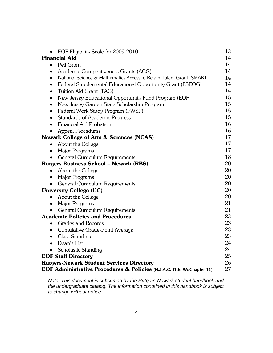| EOF Eligibility Scale for 2009-2010                                               | 13 |
|-----------------------------------------------------------------------------------|----|
| <b>Financial Aid</b>                                                              | 14 |
| Pell Grant<br>$\bullet$                                                           | 14 |
| Academic Competitiveness Grants (ACG)<br>$\bullet$                                | 14 |
| National Science & Mathematics Access to Retain Talent Grant (SMART)<br>$\bullet$ | 14 |
| Federal Supplemental Educational Opportunity Grant (FSEOG)<br>$\bullet$           | 14 |
| Tuition Aid Grant (TAG)<br>$\bullet$                                              | 14 |
| New Jersey Educational Opportunity Fund Program (EOF)<br>$\bullet$                | 15 |
| New Jersey Garden State Scholarship Program<br>$\bullet$                          | 15 |
| Federal Work Study Program (FWSP)<br>$\bullet$                                    | 15 |
| <b>Standards of Academic Progress</b><br>$\bullet$                                | 15 |
| Financial Aid Probation<br>$\bullet$                                              | 16 |
| <b>Appeal Procedures</b><br>$\bullet$                                             | 16 |
| <b>Newark College of Arts &amp; Sciences (NCAS)</b>                               | 17 |
| About the College<br>$\bullet$                                                    | 17 |
| Major Programs<br>$\bullet$                                                       | 17 |
| General Curriculum Requirements<br>$\bullet$                                      | 18 |
| <b>Rutgers Business School – Newark (RBS)</b>                                     | 20 |
| About the College<br>$\bullet$                                                    | 20 |
| <b>Major Programs</b><br>$\bullet$                                                | 20 |
| General Curriculum Requirements                                                   | 20 |
| <b>University College (UC)</b>                                                    | 20 |
| About the College<br>$\bullet$                                                    | 20 |
| Major Programs<br>$\bullet$                                                       | 21 |
| General Curriculum Requirements<br>$\bullet$                                      | 21 |
| <b>Academic Policies and Procedures</b>                                           | 23 |
| <b>Grades and Records</b><br>$\bullet$                                            | 23 |
| Cumulative Grade-Point Average<br>$\bullet$                                       | 23 |
| Class Standing<br>$\bullet$                                                       | 23 |
| Dean's List<br>$\bullet$                                                          | 24 |
| <b>Scholastic Standing</b><br>$\bullet$                                           | 24 |
| <b>EOF Staff Directory</b>                                                        | 25 |
| <b>Rutgers-Newark Student Services Directory</b>                                  | 26 |
| EOF Administrative Procedures & Policies (N.J.A.C. Title 9A:Chapter 11)           | 27 |

*Note: This document is subsumed by the Rutgers-Newark student handbook and the undergraduate catalog. The information contained in this handbook is subject to change without notice.*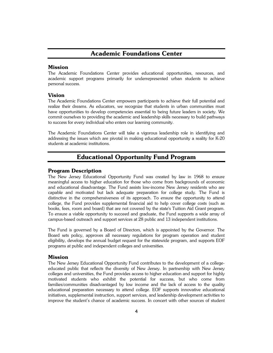# **Academic Foundations Center**

# **Mission**

The Academic Foundations Center provides educational opportunities, resources, and academic support programs primarily for underrepresented urban students to achieve personal success.

# **Vision**

The Academic Foundations Center empowers participants to achieve their full potential and realize their dreams. As educators, we recognize that students in urban communities must have opportunities to develop competencies essential to being future leaders in society. We commit ourselves to providing the academic and leadership skills necessary to build pathways to success for every individual who enters our learning community.

The Academic Foundations Center will take a vigorous leadership role in identifying and addressing the issues which are pivotal in making educational opportunity a reality for K-20 students at academic institutions.

# **Educational Opportunity Fund Program**

# **Program Description**

The New Jersey Educational Opportunity Fund was created by law in 1968 to ensure meaningful access to higher education for those who come from backgrounds of economic and educational disadvantage. The Fund assists low-income New Jersey residents who are capable and motivated but lack adequate preparation for college study. The Fund is distinctive in the comprehensiveness of its approach. To ensure the opportunity to attend college, the Fund provides supplemental financial aid to help cover college costs (such as books, fees, room and board) that are not covered by the state's Tuition Aid Grant program. To ensure a viable opportunity to succeed and graduate, the Fund supports a wide array of campus-based outreach and support services at 28 public and 13 independent institutions.

The Fund is governed by a Board of Directors, which is appointed by the Governor. The Board sets policy, approves all necessary regulations for program operation and student eligibility, develops the annual budget request for the statewide program, and supports EOF programs at public and independent colleges and universities.

# **Mission**

The New Jersey Educational Opportunity Fund contributes to the development of a collegeeducated public that reflects the diversity of New Jersey. In partnership with New Jersey colleges and universities, the Fund provides access to higher education and support for highly motivated students who exhibit the potential for success, but who come from families/communities disadvantaged by low income and the lack of access to the quality educational preparation necessary to attend college. EOF supports innovative educational initiatives, supplemental instruction, support services, and leadership development activities to improve the student's chance of academic success. In concert with other sources of student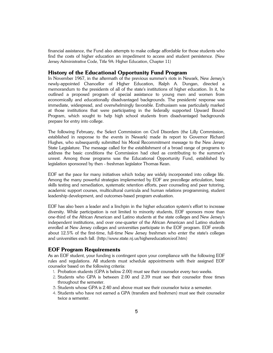financial assistance, the Fund also attempts to make college affordable for those students who find the costs of higher education an impediment to access and student persistence. (New Jersey Administrative Code, Title 9A: Higher Education, Chapter 11)

# **History of the Educational Opportunity Fund Program**

In November 1967, in the aftermath of the previous summer's riots in Newark, New Jersey's newly-appointed Chancellor of Higher Education, Ralph A. Dungan, directed a memorandum to the presidents of all of the state's institutions of higher education. In it, he outlined a proposed program of special assistance to young men and women from economically and educationally disadvantaged backgrounds. The presidents' response was immediate, widespread, and overwhelmingly favorable. Enthusiasm was particularly marked at those institutions that were participating in the federally supported Upward Bound Program, which sought to help high school students from disadvantaged backgrounds prepare for entry into college.

The following February, the Select Commission on Civil Disorders (the Lilly Commission, established in response to the events in Newark) made its report to Governor Richard Hughes, who subsequently submitted his Moral Recommitment message to the New Jersey State Legislature. The message called for the establishment of a broad range of programs to address the basic conditions the Commission had cited as contributing to the summer's unrest. Among those programs was the Educational Opportunity Fund, established by legislation sponsored by then - freshman legislator Thomas Kean.

EOF set the pace for many initiatives which today are widely incorporated into college life. Among the many powerful strategies implemented by EOF are precollege articulation, basic skills testing and remediation, systematic retention efforts, peer counseling and peer tutoring, academic support courses, multicultural curricula and human relations programming, student leadership development, and outcomes-based program evaluation.

EOF has also been a leader and a linchpin in the higher education system's effort to increase diversity. While participation is not limited to minority students, EOF sponsors more than one-third of the African American and Latino students at the state colleges and New Jersey's independent institutions, and over one-quarter of the African American and Latino students enrolled at New Jersey colleges and universities participate in the EOF program. EOF enrolls about 12.5% of the first-time, full-time New Jersey freshmen who enter the state's colleges and universities each fall. (http://www.state.nj.us/highereducation/eof.htm)

# **EOF Program Requirements**

As an EOF student, your funding is contingent upon your compliance with the following EOF rules and regulations. All students must schedule appointments with their assigned EOF counselor based on the following criteria:

- 1. Probation students (GPA is below 2.00) must see their counselor every two weeks.
- 2. Students who GPA is between 2.00 and 2.39 must see their counselor three times throughout the semester.
- 3. Students whose GPA is 2.40 and above must see their counselor twice a semester.
- 4. Students who have not earned a GPA (transfers and freshmen) must see their counselor twice a semester.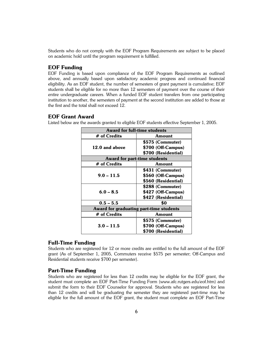Students who do not comply with the EOF Program Requirements are subject to be placed on academic hold until the program requirement is fulfilled.

# **EOF Funding**

EOF Funding is based upon compliance of the EOF Program Requirements as outlined above, and annually based upon satisfactory academic progress and continued financial eligibility. As an EOF student, the number of semesters of grant payment is cumulative; EOF students shall be eligible for no more than 12 semesters of payment over the course of their entire undergraduate careers. When a funded EOF student transfers from one participating institution to another, the semesters of payment at the second institution are added to those at the first and the total shall not exceed 12.

# **EOF Grant Award**

Listed below are the awards granted to eligible EOF students effective September 1, 2005.

| Award for full-time students            |                     |  |  |
|-----------------------------------------|---------------------|--|--|
| # of Credits                            | Amount              |  |  |
|                                         | \$575 (Commuter)    |  |  |
| 12.0 and above                          | \$700 (Off-Campus)  |  |  |
|                                         | \$700 (Residential) |  |  |
| Award for part-time students            |                     |  |  |
| # of Credits                            | Amount              |  |  |
|                                         | \$431 (Commuter)    |  |  |
| $9.0 - 11.5$                            | \$560 (Off-Campus)  |  |  |
|                                         | \$560 (Residential) |  |  |
|                                         | \$288 (Commuter)    |  |  |
| $6.0 - 8.5$                             | \$427 (Off-Campus)  |  |  |
|                                         | \$427 (Residential) |  |  |
| $0.5 - 5.5$                             | \$0                 |  |  |
| Award for graduating part-time students |                     |  |  |
| # of Credits                            | Amount              |  |  |
|                                         | \$575 (Commuter)    |  |  |
| $3.0 - 11.5$                            | \$700 (Off-Campus)  |  |  |
|                                         | \$700 (Residential) |  |  |

# **Full-Time Funding**

Students who are registered for 12 or more credits are entitled to the full amount of the EOF grant (As of September 1, 2005, Commuters receive \$575 per semester; Off-Campus and Residential students receive \$700 per semester).

# **Part-Time Funding**

Students who are registered for less than 12 credits may be eligible for the EOF grant, the student must complete an EOF Part-Time Funding Form (www.afc.rutgers.edu/eof.htm) and submit the form to their EOF Counselor for approval. Students who are registered for less than 12 credits and will be graduating the semester they are registered part-time may be eligible for the full amount of the EOF grant, the student must complete an EOF Part-Time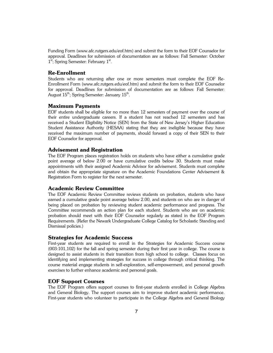Funding Form (www.afc.rutgers.edu/eof.htm) and submit the form to their EOF Counselor for approval. Deadlines for submission of documentation are as follows: Fall Semester: October 1<sup>st</sup>; Spring Semester: February 1<sup>st</sup>.

# **Re-Enrollment**

Students who are returning after one or more semesters must complete the EOF Re-Enrollment Form (www.afc.rutgers.edu/eof.htm) and submit the form to their EOF Counselor for approval. Deadlines for submission of documentation are as follows: Fall Semester: August  $15^{\text{th}}$ ; Spring Semester: January  $15^{\text{th}}$ .

## **Maximum Payments**

EOF students shall be eligible for no more than 12 semesters of payment over the course of their entire undergraduate careers. If a student has not reached 12 semesters and has received a Student Eligibility Notice (SEN) from the State of New Jersey's Higher Education Student Assistance Authority (HESAA) stating that they are ineligible because they have received the maximum number of payments, should forward a copy of their SEN to their EOF Counselor for approval.

# **Advisement and Registration**

The EOF Program places registration holds on students who have either a cumulative grade point average of below 2.00 or have cumulative credits below 30. Students must make appointments with their assigned Academic Advisor for advisement. Students must complete and obtain the appropriate signature on the Academic Foundations Center Advisement & Registration Form to register for the next semester.

# **Academic Review Committee**

The EOF Academic Review Committee reviews students on probation, students who have earned a cumulative grade point average below 2.00, and students on who are in danger of being placed on probation by reviewing student academic performance and progress. The Committee recommends an action plan for each student. Students who are on academic probation should meet with their EOF Counselor regularly as stated in the EOF Program Requirements. (Refer the Newark Undergraduate College Catalog for Scholastic Standing and Dismissal policies.)

# **Strategies for Academic Success**

First-year students are required to enroll in the Strategies for Academic Success course (003:101,102) for the fall and spring semester during their first year in college. The course is designed to assist students in their transition from high school to college. Classes focus on identifying and implementing strategies for success in college through critical thinking. The course material engage students in self-exploration, self-empowerment, and personal growth exercises to further enhance academic and personal goals.

# **EOF Support Courses**

The EOF Program offers support courses to first-year students enrolled in College Algebra and General Biology. The support courses aim to improve student academic performance. First-year students who volunteer to participate in the College Algebra and General Biology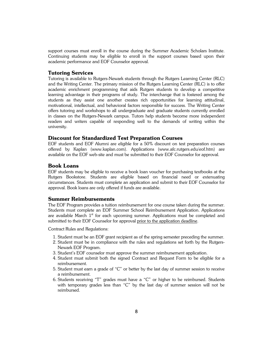support courses must enroll in the course during the Summer Academic Scholars Institute. Continuing students may be eligible to enroll in the support courses based upon their academic performance and EOF Counselor approval.

# **Tutoring Services**

Tutoring is available to Rutgers-Newark students through the Rutgers Learning Center (RLC) and the Writing Center. The primary mission of the Rutgers Learning Center (RLC) is to offer academic enrichment programming that aids Rutgers students to develop a competitive learning advantage in their programs of study. The interchange that is fostered among the students as they assist one another creates rich opportunities for learning attitudinal, motivational, intellectual, and behavioral factors responsible for success. The Writing Center offers tutoring and workshops to all undergraduate and graduate students currently enrolled in classes on the Rutgers-Newark campus. Tutors help students become more independent readers and writers capable of responding well to the demands of writing within the university.

# **Discount for Standardized Test Preparation Courses**

EOF students and EOF Alumni are eligible for a 50% discount on test preparation courses offered by Kaplan (www.kaplan.com). Applications (www.afc.rutgers.edu/eof.htm) are available on the EOF web-site and must be submitted to their EOF Counselor for approval.

# **Book Loans**

EOF students may be eligible to receive a book loan voucher for purchasing textbooks at the Rutgers Bookstore. Students are eligible based on financial need or extenuating circumstances. Students must complete an application and submit to their EOF Counselor for approval. Book loans are only offered if funds are available.

# **Summer Reimbursements**

The EOF Program provides a tuition reimbursement for one course taken during the summer. Students must complete an EOF Summer School Reimbursement Application. Applications are available March  $1<sup>st</sup>$  for each upcoming summer. Applications must be completed and submitted to their EOF Counselor for approval prior to the application deadline.

Contract Rules and Regulations:

- 1. Student must be an EOF grant recipient as of the spring semester preceding the summer.
- 2. Student must be in compliance with the rules and regulations set forth by the Rutgers-Newark EOF Program.
- 3. Student's EOF counselor must approve the summer reimbursement application.
- 4. Student must submit both the signed Contract and Request Form to be eligible for a reimbursement.
- 5. Student must earn a grade of "C" or better by the last day of summer session to receive a reimbursement.
- 6. Students receiving "T" grades must have a "C" or higher to be reimbursed. Students with temporary grades less than "C" by the last day of summer session will not be reimbursed.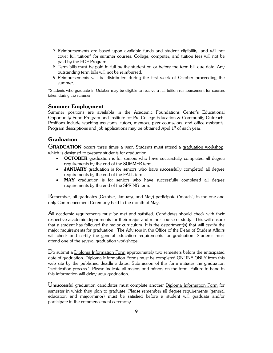- 7. Reimbursements are based upon available funds and student eligibility, and will not cover full tuition\* for summer courses. College, computer, and tuition fees will not be paid by the EOF Program.
- 8. Term bills must be paid in full by the student on or before the term bill due date. Any outstanding term bills will not be reimbursed.
- 9. Reimbursements will be distributed during the first week of October proceeding the summer.

\*Students who graduate in October may be eligible to receive a full tuition reimbursement for courses taken during the summer.

# **Summer Employment**

Summer positions are available in the Academic Foundations Center's Educational Opportunity Fund Program and Institute for Pre-College Education & Community Outreach. Positions include teaching assistants, tutors, mentors, peer counselors, and office assistants. Program descriptions and job applications may be obtained April  $1<sup>st</sup>$  of each year.

# **Graduation**

GRADUATION occurs three times a year. Students must attend a graduation workshop, which is designed to prepare students for graduation.

- **OCTOBER** graduation is for seniors who have successfully completed all degree requirements by the end of the SUMMER term.
- **JANUARY** graduation is for seniors who have successfully completed all degree requirements by the end of the FALL term.
- **MAY** graduation is for seniors who have successfully completed all degree requirements by the end of the SPRING term.

 $R$ emember, all graduates (October, January, and May) participate ("march") in the one and only Commencement Ceremony held in the month of May.

 ${\mathop{\mathrm{All}}}$  academic requirements must be met and satisfied. Candidates should check with their respective academic departments for their major and minor course of study. This will ensure that a student has followed the major curriculum. It is the department(s) that will certify the major requirements for graduation. The Advisors in the Office of the Dean of Student Affairs will check and certify the general education requirements for graduation. Students must attend one of the several graduation workshops.

Do submit a Diploma Information Form approximately two semesters before the anticipated date of graduation. Diploma Information Forms must be completed ONLINE ONLY from this web site by the published deadline dates. Submission of this form initiates the graduation "certification process." Please indicate all majors and minors on the form. Failure to hand in this information will delay your graduation.

Unsuccessful graduation candidates must complete another Diploma Information Form for semester in which they plan to graduate. Please remember all degree requirements (general education and major/minor) must be satisfied before a student will graduate and/or participate in the commencement ceremony.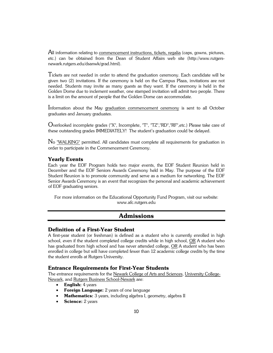${\mathop{\mathrm{All}}}$  information relating to commencement instructions, tickets, regalia (caps, gowns, pictures, etc.) can be obtained from the Dean of Student Affairs web site (http://www.rutgersnewark.rutgers.edu/dsanwk/grad.html).

Tickets are not needed in order to attend the graduation ceremony. Each candidate will be given two (2) invitations. If the ceremony is held on the Campus Plaza, invitations are not needed. Students may invite as many guests as they want. If the ceremony is held in the Golden Dome due to inclement weather, one stamped invitation will admit two people. There is a limit on the amount of people that the Golden Dome can accommodate.

Information about the May graduation commencement ceremony is sent to all October graduates and January graduates.

Overlooked incomplete grades ("X", Incomplete, "T", "TZ","RD","RF",etc.) Please take care of these outstanding grades IMMEDIATELY! The student's graduation could be delayed.

No "WALKING" permitted. All candidates must complete all requirements for graduation in order to participate in the Commencement Ceremony.

# **Yearly Events**

Each year the EOF Program holds two major events, the EOF Student Reunion held in December and the EOF Seniors Awards Ceremony held in May. The purpose of the EOF Student Reunion is to promote community and serve as a medium for networking. The EOF Senior Awards Ceremony is an event that recognizes the personal and academic achievement of EOF graduating seniors.

For more information on the Educational Opportunity Fund Program, visit our website: www.afc.rutgers.edu

# **Admissions**

# **Definition of a First-Year Student**

A first-year student (or freshman) is defined as a student who is currently enrolled in high school, even if the student completed college credits while in high school, OR A student who has graduated from high school and has never attended college, OR A student who has been enrolled in college but will have completed fewer than 12 academic college credits by the time the student enrolls at Rutgers University.

# **Entrance Requirements for First-Year Students**

The entrance requirements for the Newark College of Arts and Sciences, University College-Newark, and Rutgers Business School-Newark are:

- **English:** 4 years
- **Foreign Language:** 2 years of one language
- **Mathematics:** 3 years, including algebra I, geometry, algebra II
- **Science:** 2 years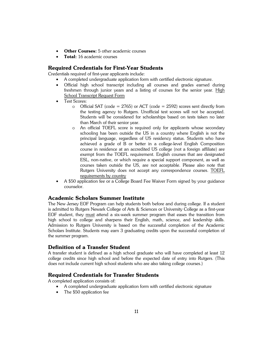- **Other Courses:** 5 other academic courses
- **Total:** 16 academic courses

# **Required Credentials for First-Year Students**

Credentials required of first-year applicants include:

- A completed undergraduate application form with certified electronic signature.
- Official high school transcript including all courses and grades earned during freshmen through junior years and a listing of courses for the senior year. High School Transcript Request Form
- Test Scores:
	- $\circ$  Official SAT (code = 2765) or ACT (code = 2592) scores sent directly from the testing agency to Rutgers. Unofficial test scores will not be accepted. Students will be considered for scholarships based on tests taken no later than March of their senior year.
	- o An official TOEFL score is required only for applicants whose secondary schooling has been outside the US in a country where English is not the principal language, regardless of US residency status. Students who have achieved a grade of B or better in a college-level English Composition course in residence at an accredited US college (not a foreign affiliate) are exempt from the TOEFL requirement. English courses that are designated ESL, non-native, or which require a special support component, as well as courses taken outside the US, are not acceptable. Please also note that Rutgers University does not accept any correspondence courses. TOEFL requirements by country
- A \$50 application fee or a College Board Fee Waiver Form signed by your guidance counselor.

# **Academic Scholars Summer Institute**

The New Jersey EOF Program can help students both before and during college. If a student is admitted to Rutgers Newark College of Arts & Sciences or University College as a first-year EOF student, they must attend a six-week summer program that eases the transition from high school to college and sharpens their English, math, science, and leadership skills. Admission to Rutgers University is based on the successful completion of the Academic Scholars Institute. Students may earn 3 graduating credits upon the successful completion of the summer program.

# **Definition of a Transfer Student**

A transfer student is defined as a high school graduate who will have completed at least 12 college credits since high school and before the expected date of entry into Rutgers. (This does not include current high school students who are also taking college courses.)

# **Required Credentials for Transfer Students**

A completed application consists of:

- A completed undergraduate application form with certified electronic signature
- The \$50 application fee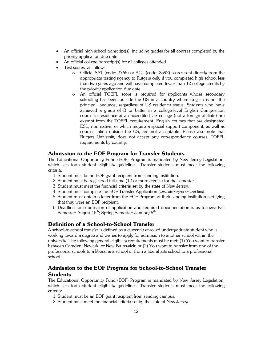- An official high school transcript(s), including grades for all courses completed by the priority application due date
- An official college transcript(s) for all colleges attended
- Test scores, as follows:
	- o Official SAT (code: 2765) or ACT (code: 2592) scores sent directly from the appropriate testing agency to Rutgers only if you completed high school less than two years ago and will have completed fewer than 12 college credits by the priority application due date**.**
	- o An official TOEFL score is required for applicants whose secondary schooling has been outside the US in a country where English is not the principal language, regardless of US residency status**.** Students who have achieved a grade of B or better in a college-level English Composition course in residence at an accredited US college (not a foreign affiliate) are exempt from the TOEFL requirement. English courses that are designated ESL, non-native, or which require a special support component, as well as courses taken outside the US, are not acceptable. Please also note that Rutgers University does not accept any correspondence courses. TOEFL requirements by country.

# **Admission to the EOF Program for Transfer Students**

The Educational Opportunity Fund (EOF) Program is mandated by New Jersey Legislation, which sets forth student eligibility guidelines. Transfer students must meet the following criteria:

- 1. Student must be an EOF grant recipient from sending institution.
- 2. Student must be registered full-time (12 or more credits) for the semester.
- 3. Student must meet the financial criteria set by the state of New Jersey.
- 4. Student must complete the EOF Transfer Application (www.afc.rutgers.edu/eof.htm).
- 5. Student must obtain a letter from the EOF Program at their sending institution certifying that they were an EOF recipient.
- 6. Deadline for submission of application and required documentation is as follows: Fall Semester: August  $15^{th}$ ; Spring Semester: January  $5^{th}$ .

# **Definition of a School-to-School Transfer**

A school-to-school transfer is defined as a currently enrolled undergraduate student who is working toward a degree and wishes to apply for admission to another school within the university. The following general eligibility requirements must be met: (1) You want to transfer between Camden, Newark, or New Brunswick; or (2) You want to transfer from one of the professional schools to a liberal arts school or from a liberal arts school to a professional school.

# **Admission to the EOF Program for School-to-School Transfer Students**

The Educational Opportunity Fund (EOF) Program is mandated by New Jersey Legislation, which sets forth student eligibility guidelines. Transfer students must meet the following criteria:

- 1. Student must be an EOF grant recipient from sending campus.
- 2. Student must meet the financial criteria set by the state of New Jersey.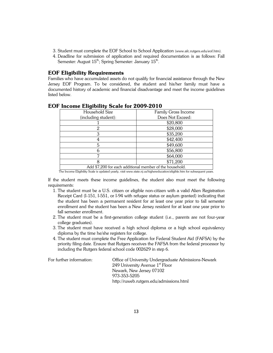- 3. Student must complete the EOF School to School Application (www.afc.rutgers.edu/eof.htm).
- 4. Deadline for submission of application and required documentation is as follows: Fall Semester: August  $15<sup>th</sup>$ ; Spring Semester: January  $15<sup>th</sup>$ .

# **EOF Eligibility Requirements**

Families who have accumulated assets do not qualify for financial assistance through the New Jersey EOF Program. To be considered, the student and his/her family must have a documented history of academic and financial disadvantage and meet the income guidelines listed below.

| Household Size                                           | Family Gross Income |  |
|----------------------------------------------------------|---------------------|--|
| (including student):                                     | Does Not Exceed:    |  |
|                                                          | \$20,800            |  |
|                                                          | \$28,000            |  |
| 3                                                        | \$35,200            |  |
|                                                          | \$42,400            |  |
| 5                                                        | \$49,600            |  |
|                                                          | \$56,800            |  |
|                                                          | \$64,000            |  |
|                                                          | \$71,200            |  |
| Add \$7,200 for each additional member of the household. |                     |  |

# **EOF Income Eligibility Scale for 2009-2010**

The Income Eligibility Scale is updated yearly, visit www.state.nj.us/highereducation/eligible.htm for subsequent years.

If the student meets these income guidelines, the student also must meet the following requirements:

- 1. The student must be a U.S. citizen or eligible non-citizen with a valid Alien Registration Receipt Card (I-151, I-551, or I-94 with refugee status or asylum granted) indicating that the student has been a permanent resident for at least one year prior to fall semester enrollment and the student has been a New Jersey resident for at least one year prior to fall semester enrollment.
- 2. The student must be a first-generation college student (i.e., parents are not four-year college graduates).
- 3. The student must have received a high school diploma or a high school equivalency diploma by the time he/she registers for college.
- 4. The student must complete the Free Application for Federal Student Aid (FAFSA) by the priority filing date. Ensure that Rutgers receives the FAFSA from the federal processor by including the Rutgers federal school code 002629 in step 6.

For further information: Office of University Undergraduate Admissions-Newark 249 University Avenue  $1<sup>st</sup>$  Floor Newark, New Jersey 07102 973-353-5205 http://ruweb.rutgers.edu/admissions.html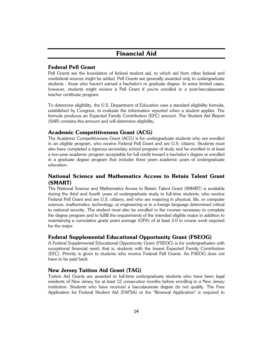# **Financial Aid**

# **Federal Pell Grant**

Pell Grants are the foundation of federal student aid, to which aid from other federal and nonfederal sources might be added. Pell Grants are generally awarded only to undergraduate students - those who haven't earned a bachelor's or graduate degree. In some limited cases, however, students might receive a Pell Grant if you're enrolled in a post-baccalaureate teacher certificate program.

To determine eligibility, the U.S. Department of Education uses a standard eligibility formula, established by Congress, to evaluate the information reported when a student applies. The formula produces an Expected Family Contribution (EFC) amount. The Student Aid Report (SAR) contains this amount and will determine eligibility.

# **Academic Competitiveness Grant (ACG)**

The Academic Competitiveness Grant (ACG) is for undergraduate students who are enrolled in an eligible program, who receive Federal Pell Grant and are U.S. citizens. Students must also have completed a rigorous secondary school program of study and be enrolled in at least a two-year academic program acceptable for full credit toward a bachelor's degree or enrolled in a graduate degree program that includes three years academic years of undergraduate education.

# **National Science and Mathematics Access to Retain Talent Grant (SMART)**

The National Science and Mathematics Access to Retain Talent Grant (SMART) is available during the third and fourth years of undergraduate study to full-time students, who receive Federal Pell Grant and are U.S. citizens, and who are majoring in physical, life, or computer sciences, mathematics, technology, or engineering or in a foreign language determined critical to national security. The student must also be enrolled in the courses necessary to complete the degree program and to fulfill the requirements of the intended eligible major in addition to maintaining a cumulative grade point average (GPA) of at least 3.0 in course work required for the major.

# **Federal Supplemental Educational Opportunity Grant (FSEOG)**

A Federal Supplemental Educational Opportunity Grant (FSEOG) is for undergraduates with exceptional financial need; that is, students with the lowest Expected Family Contribution (EFC). Priority is given to students who receive Federal Pell Grants. An FSEOG does not have to be paid back.

# **New Jersey Tuition Aid Grant (TAG)**

Tuition Aid Grants are awarded to full-time undergraduate students who have been legal residents of New Jersey for at least 12 consecutive months before enrolling in a New Jersey institution. Students who have received a baccalaureate degree do not qualify. The Free Application for Federal Student Aid (FAFSA) or the "Renewal Application" is required to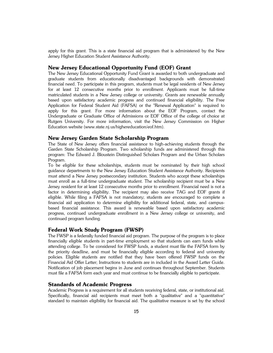apply for this grant. This is a state financial aid program that is administered by the New Jersey Higher Education Student Assistance Authority.

### **New Jersey Educational Opportunity Fund (EOF) Grant**

The New Jersey Educational Opportunity Fund Grant is awarded to both undergraduate and graduate students from educationally disadvantaged backgrounds with demonstrated financial need. To participate in this program, students must be legal residents of New Jersey for at least 12 consecutive months prior to enrollment. Applicants must be full-time matriculated students in a New Jersey college or university. Grants are renewable annually based upon satisfactory academic progress and continued financial eligibility. The Free Application for Federal Student Aid (FAFSA) or the "Renewal Application" is required to apply for this grant. For more information about the EOF Program, contact the Undergraduate or Graduate Office of Admissions or EOF Office of the college of choice at Rutgers University. For more information, visit the New Jersey Commission on Higher Education website (www.state.nj.us/highereducation/eof.htm).

# **New Jersey Garden State Scholarship Program**

The State of New Jersey offers financial assistance to high-achieving students through the Garden State Scholarship Program. Two scholarship funds are administered through this program: The Edward J. Bloustein Distinguished Scholars Program and the Urban Scholars Program.

To be eligible for these scholarships, students must be nominated by their high school guidance departments to the New Jersey Education Student Assistance Authority. Recipients must attend a New Jersey postsecondary institution. Students who accept these scholarships must enroll as a full-time undergraduate student. The scholarship recipient must be a New Jersey resident for at least 12 consecutive months prior to enrollment. Financial need is not a factor in determining eligibility. The recipient may also receive TAG and EOF grants if eligible. While filing a FAFSA is not mandatory; students are encouraged to complete a financial aid application to determine eligibility for additional federal, state, and campusbased financial assistance. This award is renewable based upon satisfactory academic progress, continued undergraduate enrollment in a New Jersey college or university, and continued program funding.

### **Federal Work Study Program (FWSP)**

The FWSP is a federally funded financial aid program. The purpose of the program is to place financially eligible students in part-time employment so that students can earn funds while attending college. To be considered for FWSP funds, a student must file the FAFSA form by the priority deadline, and must be financially eligible according to federal and university policies. Eligible students are notified that they have been offered FWSP funds on the Financial Aid Offer Letter; Instructions to students are in included in the Award Letter Guide. Notification of job placement begins in June and continues throughout September. Students must file a FAFSA form each year and must continue to be financially eligible to participate.

# **Standards of Academic Progress**

Academic Progress is a requirement for all students receiving federal, state, or institutional aid. Specifically, financial aid recipients must meet both a "qualitative" and a "quantitative" standard to maintain eligibility for financial aid. The qualitative measure is set by the school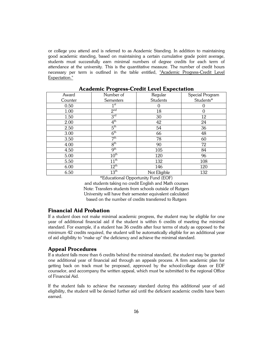or college you attend and is referred to as Academic Standing. In addition to maintaining good academic standing, based on maintaining a certain cumulative grade point average, students must successfully earn minimal numbers of degree credits for each term of attendance at the university. This is the quantitative measure. The number of credit hours necessary per term is outlined in the table entitled, "Academic Progress-Credit Level Expectation."

| Award   | Number of        | Regular      | Special Program |
|---------|------------------|--------------|-----------------|
| Counter | <b>Semesters</b> | Students     | Students*       |
| 0.50    | 1 <sup>st</sup>  | 0            |                 |
| 1.00    | 2 <sup>nd</sup>  | 18           |                 |
| 1.50    | 3 <sup>rd</sup>  | 30           | 12              |
| 2.00    | $4^{\rm th}$     | 42           | 24              |
| 2.50    | $5^{\rm th}$     | 54           | 36              |
| 3.00    | 6 <sup>th</sup>  | 66           | 48              |
| 3.50    | 7 <sup>th</sup>  | 78           | 60              |
| 4.00    | 8 <sup>th</sup>  | 90           | 72              |
| 4.50    | 9 <sup>th</sup>  | 105          | 84              |
| 5.00    | 10 <sup>th</sup> | 120          | 96              |
| 5.50    | $11^{\text{th}}$ | 132          | 108             |
| 6.00    | $12^{th}$        | 146          | 120             |
| 6.50    | 13 <sup>th</sup> | Not Eligible | 132             |

# **Academic Progress-Credit Level Expectation**

\*Educational Opportunity Fund (EOF)

and students taking no credit English and Math courses Note: Transfers students from schools outside of Rutgers University will have their semester equivalent calculated based on the number of credits transferred to Rutgers

# **Financial Aid Probation**

If a student does not make minimal academic progress, the student may be eligible for one year of additional financial aid if the student is within 6 credits of meeting the minimal standard. For example, if a student has 36 credits after four terms of study as opposed to the minimum 42 credits required, the student will be automatically eligible for an additional year of aid eligibility to "make up" the deficiency and achieve the minimal standard.

### **Appeal Procedures**

If a student falls more than 6 credits behind the minimal standard, the student may be granted one additional year of financial aid through an appeals process. A firm academic plan for getting back on track must be proposed, approved by the school/college dean or EOF counselor, and accompany the written appeal, which must be submitted to the regional Office of Financial Aid.

If the student fails to achieve the necessary standard during this additional year of aid eligibility, the student will be denied further aid until the deficient academic credits have been earned.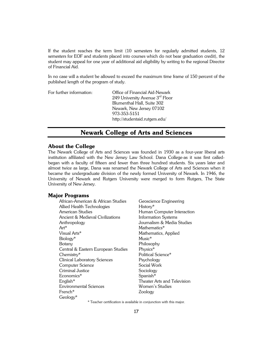If the student reaches the term limit (10 semesters for regularly admitted students, 12 semesters for EOF and students placed into courses which do not bear graduation credit), the student may appeal for one year of additional aid eligibility by writing to the regional Director of Financial Aid.

In no case will a student be allowed to exceed the maximum time frame of 150 percent of the published length of the program of study.

| For further information: | Office of Financial Aid-Newark  |  |
|--------------------------|---------------------------------|--|
|                          | 249 University Avenue 3rd Floor |  |
|                          | Blumenthal Hall, Suite 302      |  |
|                          | Newark, New Jersey 07102        |  |
|                          | 973-353-5151                    |  |
|                          | http://studentaid.rutgers.edu/  |  |

# **Newark College of Arts and Sciences**

# **About the College**

The Newark College of Arts and Sciences was founded in 1930 as a four-year liberal arts institution affiliated with the New Jersey Law School. Dana College-as it was first calledbegan with a faculty of fifteen and fewer than three hundred students. Six years later and almost twice as large, Dana was renamed the Newark College of Arts and Sciences when it became the undergraduate division of the newly formed University of Newark. In 1946, the University of Newark and Rutgers University were merged to form Rutgers, The State University of New Jersey.

# **Major Programs**

| African-American & African Studies  | Geoscience Engineering      |
|-------------------------------------|-----------------------------|
| Allied Health Technologies          | History*                    |
| American Studies                    | Human Computer Interaction  |
| Ancient & Medieval Civilizations    | Information Systems         |
| Anthropology                        | Journalism & Media Studies  |
| Art*                                | Mathematics*                |
| Visual Arts*                        | Mathematics, Applied        |
| Biology*                            | Music*                      |
| Botany                              | Philosophy                  |
| Central & Eastern European Studies  | Physics*                    |
| Chemistry*                          | Political Science*          |
| <b>Clinical Laboratory Sciences</b> | Psychology                  |
| Computer Science                    | Social Work                 |
| Criminal Justice                    | Sociology                   |
| Economics*                          | Spanish*                    |
| $Enalish*$                          | Theater Arts and Television |
| <b>Environmental Sciences</b>       | Women's Studies             |
| French*                             | Zoology                     |
| Geology*                            |                             |

\* Teacher certification is available in conjunction with this major.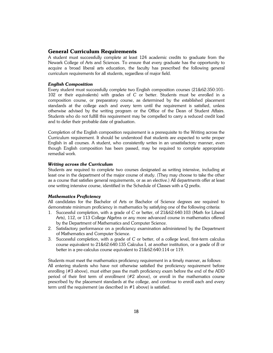# **General Curriculum Requirements**

A student must successfully complete at least 124 academic credits to graduate from the Newark College of Arts and Sciences. To ensure that every graduate has the opportunity to acquire a broad liberal arts education, the faculty has prescribed the following general curriculum requirements for all students, regardless of major field.

# *English Composition*

Every student must successfully complete two English composition courses (21&62:350:101- 102 or their equivalents) with grades of *C* or better. Students must be enrolled in a composition course, or preparatory course, as determined by the established placement standards at the college each and every term until the requirement is satisfied, unless otherwise advised by the writing program or the Office of the Dean of Student Affairs. Students who do not fulfill this requirement may be compelled to carry a reduced credit load and to defer their probable date of graduation.

Completion of the English composition requirement is a prerequisite to the Writing across the Curriculum requirement. It should be understood that students are expected to write proper English in all courses. A student, who consistently writes in an unsatisfactory manner, even though English composition has been passed, may be required to complete appropriate remedial work.

### *Writing across the Curriculum*

Students are required to complete two courses designated as writing intensive, including at least one in the department of the major course of study. (They may choose to take the other as a course that satisfies general requirements, or as an elective.) All departments offer at least one writing intensive course, identified in the Schedule of Classes with a Q prefix.

### *Mathematics Proficiency*

All candidates for the Bachelor of Arts or Bachelor of Science degrees are required to demonstrate minimum proficiency in mathematics by satisfying one of the following criteria:

- 1. Successful completion, with a grade of *C* or better, of 21&62:640:103 (Math for Liberal Arts), 112, or 113 College Algebra or any more advanced course in mathematics offered by the Department of Mathematics and Computer Science.
- 2. Satisfactory performance on a proficiency examination administered by the Department of Mathematics and Computer Science.
- 3. Successful completion, with a grade of *C* or better, of a college level, first-term calculus course equivalent to 21&62:640:135 Calculus I, at another institution, or a grade of *B* or better in a pre-calculus course equivalent to 21&62:640:114 or 119.

Students must meet the mathematics proficiency requirement in a timely manner, as follows: All entering students who have not otherwise satisfied the proficiency requirement before enrolling (#3 above), must either pass the math proficiency exam before the end of the ADD period of their first term of enrollment (#2 above), or enroll in the mathematics course prescribed by the placement standards at the college, and continue to enroll each and every term until the requirement (as described in #1 above) is satisfied.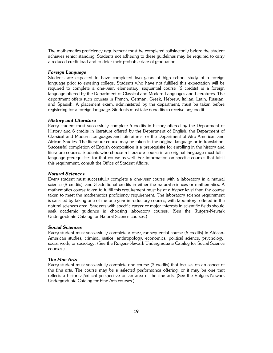The mathematics proficiency requirement must be completed satisfactorily before the student achieves senior standing. Students not adhering to these guidelines may be required to carry a reduced credit load and to defer their probable date of graduation.

### *Foreign Language*

Students are expected to have completed two years of high school study of a foreign language prior to entering college. Students who have not fulfilled this expectation will be required to complete a one-year, elementary, sequential course (6 credits) in a foreign language offered by the Department of Classical and Modern Languages and Literatures. The department offers such courses in French, German, Greek, Hebrew, Italian, Latin, Russian, and Spanish. A placement exam, administered by the department, must be taken before registering for a foreign language. Students must take 6 credits to receive any credit.

### *History and Literature*

Every student must successfully complete 6 credits in history offered by the Department of History and 6 credits in literature offered by the Department of English, the Department of Classical and Modern Languages and Literatures, or the Department of Afro-American and African Studies. The literature course may be taken in the original language or in translation. Successful completion of English composition is a prerequisite for enrolling in the history and literature courses. Students who choose a literature course in an original language must fulfill language prerequisites for that course as well. For information on specific courses that fulfill this requirement, consult the Office of Student Affairs.

### *Natural Sciences*

Every student must successfully complete a one-year course with a laboratory in a natural science (8 credits), and 3 additional credits in either the natural sciences or mathematics. A mathematics course taken to fulfill this requirement must be at a higher level than the course taken to meet the mathematics proficiency requirement. The laboratory science requirement is satisfied by taking one of the one-year introductory courses, with laboratory, offered in the natural sciences area. Students with specific career or major interests in scientific fields should seek academic guidance in choosing laboratory courses. (See the Rutgers-Newark Undergraduate Catalog for Natural Science courses.)

# *Social Sciences*

Every student must successfully complete a one-year sequential course (6 credits) in African-American studies, criminal justice, anthropology, economics, political science, psychology, social work, or sociology. (See the Rutgers-Newark Undergraduate Catalog for Social Science courses.)

# *The Fine Arts*

Every student must successfully complete one course (3 credits) that focuses on an aspect of the fine arts. The course may be a selected performance offering, or it may be one that reflects a historical/critical perspective on an area of the fine arts. (See the Rutgers-Newark Undergraduate Catalog for Fine Arts courses.)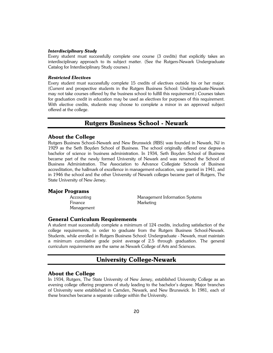### *Interdisciplinary Study*

Every student must successfully complete one course (3 credits) that explicitly takes an interdisciplinary approach to its subject matter. (See the Rutgers-Newark Undergraduate Catalog for Interdisciplinary Study courses.)

### *Restricted Electives*

Every student must successfully complete 15 credits of electives outside his or her major. (Current and prospective students in the Rutgers Business School: Undergraduate-Newark may not take courses offered by the business school to fulfill this requirement.) Courses taken for graduation credit in education may be used as electives for purposes of this requirement. With elective credits, students may choose to complete a minor in an approved subject offered at the college.

# **Rutgers Business School - Newark**

# **About the College**

Rutgers Business School–Newark and New Brunswick (RBS) was founded in Newark, NJ in 1929 as the Seth Boyden School of Business. The school originally offered one degree-a bachelor of science in business administration. In 1934, Seth Boyden School of Business became part of the newly formed University of Newark and was renamed the School of Business Administration. The Association to Advance Collegiate Schools of Business accreditation, the hallmark of excellence in management education, was granted in 1941, and in 1946 the school and the other University of Newark colleges became part of Rutgers, The State University of New Jersey.

### **Major Programs**

Finance Marketing Management

Accounting Management Information Systems

# **General Curriculum Requirements**

A student must successfully complete a minimum of 124 credits, including satisfaction of the college requirements, in order to graduate from the Rutgers Business School-Newark. Students, while enrolled in Rutgers Business School: Undergraduate - Newark, must maintain a minimum cumulative grade point average of 2.5 through graduation. The general curriculum requirements are the same as Newark College of Arts and Sciences.

# **University College-Newark**

### **About the College**

In 1934, Rutgers, The State University of New Jersey, established University College as an evening college offering programs of study leading to the bachelor's degree. Major branches of University were established in Camden, Newark, and New Brunswick. In 1981, each of these branches became a separate college within the University.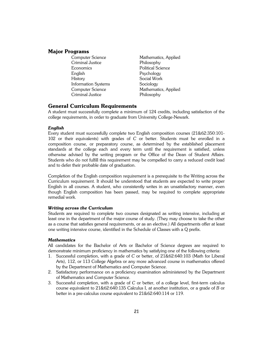# **Major Programs**

- Criminal Justice Philosophy Economics Political Science English Psychology History Social Work Information Systems Sociology Criminal Justice Philosophy
- Computer Science Mathematics, Applied Computer Science Mathematics, Applied

# **General Curriculum Requirements**

A student must successfully complete a minimum of 124 credits, including satisfaction of the college requirements, in order to graduate from University College-Newark.

### *English*

Every student must successfully complete two English composition courses (21&62:350:101- 102 or their equivalents) with grades of *C* or better. Students must be enrolled in a composition course, or preparatory course, as determined by the established placement standards at the college each and every term until the requirement is satisfied, unless otherwise advised by the writing program or the Office of the Dean of Student Affairs. Students who do not fulfill this requirement may be compelled to carry a reduced credit load and to defer their probable date of graduation.

Completion of the English composition requirement is a prerequisite to the Writing across the Curriculum requirement. It should be understood that students are expected to write proper English in all courses. A student, who consistently writes in an unsatisfactory manner, even though English composition has been passed, may be required to complete appropriate remedial work.

### *Writing across the Curriculum*

Students are required to complete two courses designated as writing intensive, including at least one in the department of the major course of study. (They may choose to take the other as a course that satisfies general requirements, or as an elective.) All departments offer at least one writing intensive course, identified in the Schedule of Classes with a Q prefix.

# *Mathematics*

All candidates for the Bachelor of Arts or Bachelor of Science degrees are required to demonstrate minimum proficiency in mathematics by satisfying one of the following criteria:

- 1. Successful completion, with a grade of *C* or better, of 21&62:640:103 (Math for Liberal Arts), 112, or 113 College Algebra or any more advanced course in mathematics offered by the Department of Mathematics and Computer Science.
- 2. Satisfactory performance on a proficiency examination administered by the Department of Mathematics and Computer Science.
- 3. Successful completion, with a grade of *C* or better, of a college level, first-term calculus course equivalent to 21&62:640:135 Calculus I, at another institution, or a grade of *B* or better in a pre-calculus course equivalent to 21&62:640:114 or 119.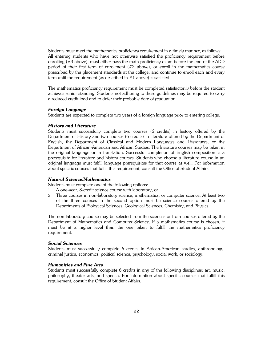Students must meet the mathematics proficiency requirement in a timely manner, as follows: All entering students who have not otherwise satisfied the proficiency requirement before enrolling (#3 above), must either pass the math proficiency exam before the end of the ADD period of their first term of enrollment (#2 above), or enroll in the mathematics course prescribed by the placement standards at the college, and continue to enroll each and every term until the requirement (as described in #1 above) is satisfied.

The mathematics proficiency requirement must be completed satisfactorily before the student achieves senior standing. Students not adhering to these guidelines may be required to carry a reduced credit load and to defer their probable date of graduation.

# *Foreign Language*

Students are expected to complete two years of a foreign language prior to entering college.

### *History and Literature*

Students must successfully complete two courses (6 credits) in history offered by the Department of History and two courses (6 credits) in literature offered by the Department of English, the Department of Classical and Modern Languages and Literatures, or the Department of African-American and African Studies. The literature courses may be taken in the original language or in translation. Successful completion of English composition is a prerequisite for literature and history courses. Students who choose a literature course in an original language must fulfill language prerequisites for that course as well. For information about specific courses that fulfill this requirement, consult the Office of Student Affairs.

# *Natural Science/Mathematics*

Students must complete one of the following options:

- 1. A one-year, 8-credit science course with laboratory, or
- 2. Three courses in non-laboratory science, mathematics, or computer science. At least two of the three courses in the second option must be science courses offered by the Departments of Biological Sciences, Geological Sciences, Chemistry, and Physics.

The non-laboratory course may be selected from the sciences or from courses offered by the Department of Mathematics and Computer Science. If a mathematics course is chosen, it must be at a higher level than the one taken to fulfill the mathematics proficiency requirement.

### *Social Sciences*

Students must successfully complete 6 credits in African-American studies, anthropology, criminal justice, economics, political science, psychology, social work, or sociology.

# *Humanities and Fine Arts*

Students must successfully complete 6 credits in any of the following disciplines: art, music, philosophy, theater arts, and speech. For information about specific courses that fulfill this requirement, consult the Office of Student Affairs.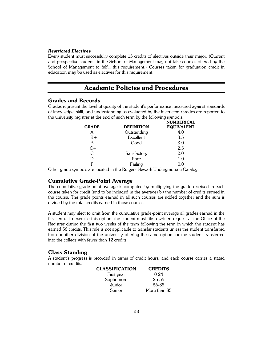### *Restricted Electives*

Every student must successfully complete 15 credits of electives outside their major. (Current and prospective students in the School of Management may not take courses offered by the School of Management to fulfill this requirement.) Courses taken for graduation credit in education may be used as electives for this requirement.

# **Academic Policies and Procedures**

# **Grades and Records**

Grades represent the level of quality of the student's performance measured against standards of knowledge, skill, and understanding as evaluated by the instructor. Grades are reported to the university registrar at the end of each term by the following symbols:

|              |                   | <b>NUMBERICAL</b> |
|--------------|-------------------|-------------------|
| <b>GRADE</b> | <b>DEFINITION</b> | <b>EQUIVALENT</b> |
| A            | Outstanding       | 4.0               |
| B+           | Excellent         | 3.5               |
| В            | Good              | 3.0               |
| $C+$         |                   | 2.5               |
| C            | Satisfactory      | 2.0               |
|              | Poor              | 1.0               |
| г            | Failing           | 0.0               |
|              |                   |                   |

Other grade symbols are located in the Rutgers-Newark Undergraduate Catalog.

# **Cumulative Grade-Point Average**

The cumulative grade-point average is computed by multiplying the grade received in each course taken for credit (and to be included in the average) by the number of credits earned in the course. The grade points earned in all such courses are added together and the sum is divided by the total credits earned in those courses.

A student may elect to omit from the cumulative grade-point average all grades earned in the first term. To exercise this option, the student must file a written request at the Office of the Registrar during the first two weeks of the term following the term in which the student has earned 56 credits. This rule is not applicable to transfer students unless the student transferred from another division of the university offering the same option, or the student transferred into the college with fewer than 12 credits.

# **Class Standing**

A student's progress is recorded in terms of credit hours, and each course carries a stated number of credits.

| CLASSIFICATION | <b>CREDITS</b> |
|----------------|----------------|
| First-year     | $0 - 24$       |
| Sophomore      | 25-55          |
| Junior         | 56-85          |
| Senior         | More than 85   |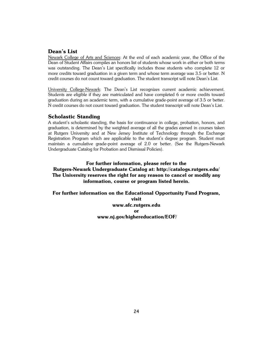# **Dean's List**

Newark College of Arts and Sciences: At the end of each academic year, the Office of the Dean of Student Affairs compiles an honors list of students whose work in either or both terms was outstanding. The Dean's List specifically includes those students who complete 12 or more credits toward graduation in a given term and whose term average was 3.5 or better. N credit courses do not count toward graduation. The student transcript will note Dean's List.

University College-Newark: The Dean's List recognizes current academic achievement. Students are eligible if they are matriculated and have completed 6 or more credits toward graduation during an academic term, with a cumulative grade-point average of 3.5 or better. N credit courses do not count toward graduation. The student transcript will note Dean's List.

# **Scholastic Standing**

A student's scholastic standing, the basis for continuance in college, probation, honors, and graduation, is determined by the weighted average of all the grades earned in courses taken at Rutgers University and at New Jersey Institute of Technology through the Exchange Registration Program which are applicable to the student's degree program. Student must maintain a cumulative grade-point average of 2.0 or better. (See the Rutgers-Newark Undergraduate Catalog for Probation and Dismissal Policies).

# **For further information, please refer to the Rutgers-Newark Undergraduate Catalog at: http://catalogs.rutgers.edu/ The University reserves the right for any reason to cancel or modify any information, course or program listed herein.**

**For further information on the Educational Opportunity Fund Program, visit www.afc.rutgers.edu or www.nj.gov/highereducation/EOF/**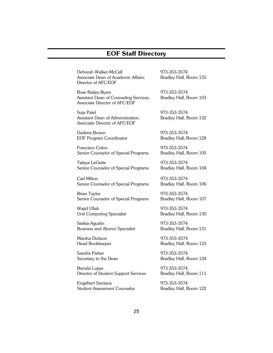# **EOF Staff Directory**

Deborah Walker-McCall 973-353-3574 Associate Dean of Academic Affairs; Bradley Hall, Room 135 Director of AFC/EOF

Rose Bailey-Byers 973-353-3574 Assistant Dean of Counseling Services; Bradley Hall, Room 103 Associate Director of AFC/EOF

Suja Patel 973-353-3574 Assistant Dean of Administration; Bradley Hall, Room 132 Associate Director of AFC/EOF

Darlene Brown 973-353-3574 EOF Program Coordinator Bradley Hall, Room 128

Francisco Colon 973-353-3574 Senior Counselor of Special Programs Bradley Hall, Room 105

Talaya LeGette 973-353-3574 Senior Counselor of Special Programs Bradley Hall, Room 104

Carl Milton 973-353-3574 Senior Counselor of Special Programs Bradley Hall, Room 106

Brian Taylor 1973-353-3574 Senior Counselor of Special Programs Bradley Hall, Room 107

Waiid Ullah 973-353-3574 Unit Computing Specialist Bradley Hall, Room 130

Saskia Agustin 973-353-3574 Business and Alumni Specialist Bradley Hall, Room 131

Marsha Dickson 973-353-3574

Sandra Parker 1973-353-3574

Brenda Lopez 1973-353-3574 Director of Student Support Services Bradley Hall, Room 111

Engelbert Santana 1973-353-3574 Student Assessment Counselor Bradley Hall, Room 122

Head Bookkeeper Bradley Hall, Room 133

Secretary to the Dean Bradley Hall, Room 134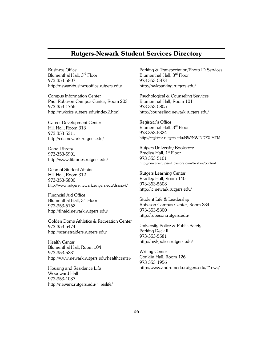# **Rutgers-Newark Student Services Directory**

Business Office Blumenthal Hall, 3<sup>rd</sup> Floor 973-353-5807 http://newarkbusinessoffice.rutgers.edu/

Campus Information Center Paul Robeson Campus Center, Room 203 973-353-1766 http://nwkcics.rutgers.edu/index2.html

Career Development Center Hill Hall, Room 313 973-353-5311 http://cdc.newark.rutgers.edu/

Dana Library 973-353-5901 http://www.libraries.rutgers.edu/

Dean of Student Affairs Hill Hall, Room 312 973-353-5800 http://www.rutgers-newark.rutgers.edu/dsanwk/

Financial Aid Office Blumenthal Hall, 3<sup>rd</sup> Floor 973-353-5152 http://finaid.newark.rutgers.edu/

Golden Dome Athletics & Recreation Center 973-353-5474 http://scarletraiders.rutgers.edu/

Health Center Blumenthal Hall, Room 104 973-353-5231 http://www.newark.rutgers.edu/healthcenter/

Housing and Residence Life Woodward Hall 973-353-1037 http://newark.rutgers.edu/~reslife/ Parking & Transportation/Photo ID Services Blumenthal Hall, 3rd Floor 973-353-5873 http://nwkparking.rutgers.edu/

Psychological & Counseling Services Blumenthal Hall, Room 101 973-353-5805 http://counseling.newark.rutgers.edu/

Registrar's Office Blumenthal Hall, 3rd Floor 973-353-5324 http://registrar.rutgers.edu/NW/NWINDEX.HTM

Rutgers University Bookstore Bradley Hall,  $1<sup>st</sup>$  Floor 973-353-5101 http://newark-rutgers1.bkstore.com/bkstore/content

Rutgers Learning Center Bradley Hall, Room 140 973-353-5608 http://lc.newark.rutgers.edu/

Student Life & Leadership Robeson Campus Center, Room 234 973-353-5300 http://robeson.rutgers.edu/

University Police & Public Safety Parking Deck II 973-353-5581 http://nwkpolice.rutgers.edu/

Writing Center Conklin Hall, Room 126 973-353-1956 http://www.andromeda.rutgers.edu/~nwc/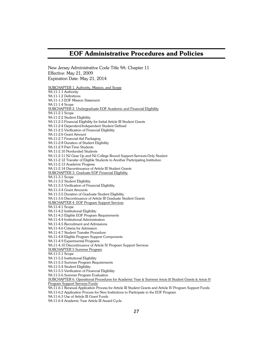# **EOF Administrative Procedures and Policies**

New Jersey Administrative Code Title 9A: Chapter 11

Effective: May 21, 2009 Expiration Date: May 21, 2014 SUBCHAPTER 1. Authority, Mission, and Scope 9A:11-1.1 Authority 9A:11-1.2 Definitions 9A:11-1.3 EOF Mission Statement 9A:11-1.4 Scope SUBCHAPTER 2. Undergraduate EOF Academic and Financial Eligibility 9A:11-2.1 Scope 9A:11-2.2 Student Eligibility 9A:11-2.3 Financial Eligibility for Initial Article III Student Grants 9A:11-2.4 Dependent/Independent Student Defined 9A:11-2.5 Verification of Financial Eligibility 9A:11-2.6 Grant Amount 9A:11-2.7 Financial Aid Packaging 9A:11-2.8 Duration of Student Eligibility 9A:11-2.9 Part-Time Students 9A:11-2.10 Nonfunded Students 9A:11-2.11 NJ Gear Up and NJ College Bound Support-Services-Only Student 9A:11-2.12 Transfer of Eligible Students to Another Participating Institution 9A:11-2.13 Academic Progress 9A:11-2.14 Discontinuance of Article III Student Grants SUBCHAPTER 3. Graduate EOF Financial Eligibility 9A:11-3.1 Scope 9A:11-3.2 Student Eligibility 9A:11-3.3 Verification of Financial Eligibility 9A:11-3.4 Grant Amounts 9A:11-3.5 Duration of Graduate Student Eligibility 9A:11-3.6 Discontinuance of Article III Graduate Student Grants SUBCHAPTER 4. EOF Program Support Services 9A:11-4.1 Scope 9A:11-4.2 Institutional Eligibility 9A:11-4.3 Eligible EOF Program Requirements 9A:11-4.4 Institutional Administration 9A:11-4.5 Recruitment and Admissions 9A:11-4.6 Criteria for Admission 9A:11-4.7 Student Transfer Procedure 9A:11-4.8 Eligible Program Support Components 9A:11-4.9 Experimental Programs 9A:11-4.10 Discontinuance of Article IV Program Support Services SUBCHAPTER 5 Summer Program 9A:11-5.1 Scope 9A:11-5.2 Institutional Eligibility 9A:11-5.3 Summer Program Requirements 9A:11-5.4 Student Eligibility 9A:11-5.5 Verification of Financial Eligibility 9A:11-5.6 Summer Program Evaluation SUBCHAPTER 6. Operational Procedures for Academic Year & Summer Article III Student Grants & Article IV Program Support Services Funds 9A:11-6.1 Renewal Application Process for Article III Student Grants and Article IV Program Support Funds 9A:11-6.2 Application Process for New Institutions to Participate in the EOF Program

9A:11-6.3 Use of Article III Grant Funds

9A:11-6.4 Academic Year Article III Award Cycle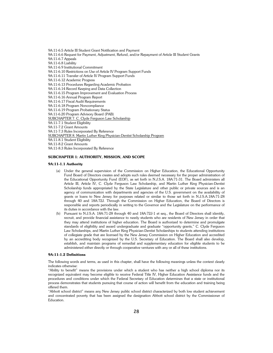9A:11-6.5 Article III Student Grant Notification and Payment 9A:11-6.6 Request for Payment, Adjustment, Refund, and/or Repayment of Article III Student Grants 9A:11-6.7 Appeals 9A:11-6.8 Liability 9A:11-6.9 Institutional Commitment 9A:11-6.10 Restrictions on Use of Article IV Program Support Funds 9A:11-6.11 Transfer of Article IV Program Support Funds 9A:11-6.12 Academic Progress 9A:11-6.13 Procedures Regarding Academic Probation 9A:11-6.14 Record Keeping and Data Collection 9A:11-6.15 Program Improvement and Evaluation Process 9A:11-6.16 Annual Program Report 9A:11-6.17 Fiscal Audit Requirements 9A:11-6.18 Program Noncompliance 9A:11-6.19 Program Probationary Status 9A:11-6.20 Program Advisory Board (PAB) SUBCHAPTER 7. C. Clyde Ferguson Law Scholarship 9A:11-7.1 Student Eligibility 9A:11-7.2 Grant Amounts 9A:11-7.3 Rules Incorporated By Reference SUBCHAPTER 8. Martin Luther King Physician-Dentist Scholarship Program 9A:11-8.1 Student Eligibility 9A:11-8.2 Grant Amounts 9A:11-8.3 Rules Incorporated By Reference

### **SUBCHAPTER 1: AUTHORITY, MISSION, AND SCOPE**

### **9A:11-1.1 Authority**

- (a) Under the general supervision of the Commission on Higher Education, the Educational Opportunity Fund Board of Directors creates and adopts such rules deemed necessary for the proper administration of the Educational Opportunity Fund (EOF), as set forth in N.J.S.A. 18A:71-31. The Board administers all Article III, Article IV, C. Clyde Ferguson Law Scholarship, and Martin Luther King Physician-Dentist Scholarship funds appropriated by the State Legislature and other public or private sources and is an agency of communication with departments and agencies of the U.S. government on the availability of grants or loans to New Jersey for purposes related or similar to those set forth in N.J.S.A.18A:71-28 through 40 and 18A:72J. Through the Commission on Higher Education, the Board of Directors is responsible and reports periodically in writing to the Governor and the Legislature on the performance of its duties in accordance with the law.
- (b) Pursuant to N.J.S.A. 18A:71-28 through 40 and 18A:72J-1 et seq., the Board of Directors shall identify, recruit, and provide financial assistance to needy students who are residents of New Jersey in order that they may attend institutions of higher education. The Board is authorized to determine and promulgate standards of eligibility and award undergraduate and graduate "opportunity grants," C. Clyde Ferguson Law Scholarships, and Martin Luther King Physician-Dentist Scholarships to students attending institutions of collegiate grade that are licensed by the New Jersey Commission on Higher Education and accredited by an accrediting body recognized by the U.S. Secretary of Education. The Board shall also develop, establish, and maintain programs of remedial and supplementary education for eligible students to be administered either directly or through cooperative ventures with any or all of these institutions.

### **9A:11-1.2 Definitions**

The following words and terms, as used in this chapter, shall have the following meanings unless the context clearly indicates otherwise:

"Ability to benefit" means the provisions under which a student who has neither a high school diploma nor its recognized equivalent may become eligible to receive Federal Title IV, Higher Education Assistance funds and the procedures and conditions under which the Federal Secretary of Education determines that a state or institutional process demonstrates that students pursuing that course of action will benefit from the education and training being offered them.

"Abbott school district" means any New Jersey public school district characterized by both low student achievement and concentrated poverty that has been assigned the designation Abbott school district by the Commissioner of Education.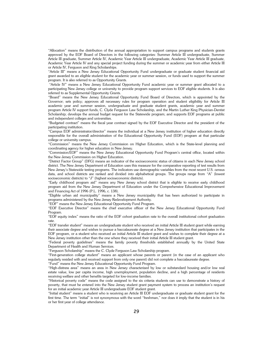"Allocation" means the distribution of the annual appropriation to support campus programs and students grants approved by the EOF Board of Directors in the following categories: Summer Article III undergraduate, Summer Article III graduate, Summer Article IV, Academic Year Article III undergraduate, Academic Year Article III graduate, Academic Year Article IV and any special project funding during the summer or academic year from either Article III or Article IV, Ferguson and King Scholarships.

"Article III" means a New Jersey Educational Opportunity Fund undergraduate or graduate student financial aid grant awarded to an eligible student for the academic year or summer session, or funds used to support the summer program. It is also referred to as Opportunity Grants.

 "Article IV" means a New Jersey Educational Opportunity Fund academic year or summer grant allocated to a participating New Jersey college or university to provide program support services to EOF eligible students. It is also referred to as Supplemental Opportunity Grants.

"Board" means the New Jersey Educational Opportunity Fund Board of Directors, which is appointed by the Governor; sets policy; approves all necessary rules for program operation and student eligibility for Article III academic year and summer session, undergraduate and graduate student grants, academic year and summer program Article IV support funds, C. Clyde Ferguson Law Scholarship, and the Martin Luther King Physician-Dentist Scholarship; develops the annual budget request for the Statewide program; and supports EOF programs at public and independent colleges and universities.

"Budgeted contract" means the fiscal year contract signed by the EOF Executive Director and the president of the participating institution.

"Campus EOF administrator/director" means the individual at a New Jersey institution of higher education directly responsible for the overall administration of the Educational Opportunity Fund (EOF) program at that particular college or university campus.

"Commission" means the New Jersey Commission on Higher Education, which is the State-level planning and coordinating agency for higher education in New Jersey.

"Commission/EOF" means the New Jersey Educational Opportunity Fund Program's central office, located within the New Jersey Commission on Higher Education.

"District Factor Group" (DFG) means an indicator of the socioeconomic status of citizens in each New Jersey school district. The New Jersey Department of Education uses this measure for the comparative reporting of test results from New Jersey's Statewide testing programs. The indicators use demographic variables from the most recent U.S. census data, and school districts are ranked and divided into alphabetical groups. The groups range from "A" (lowest socioeconomic districts) to "J" (highest socioeconomic districts).

"Early childhood program aid" means any New Jersey school district that is eligible to receive early childhood program aid from the New Jersey Department of Education under the Comprehensive Educational Improvement and Financing Act of 1996 (P.L. 1996, c. 138).

"Eligible urban aid municipality" means a New Jersey municipality that has been authorized to participate in programs administered by the New Jersey Redevelopment Authority.

"EOF" means the New Jersey Educational Opportunity Fund Program.

"EOF Executive Director" means the chief executive officer of the New Jersey Educational Opportunity Fund Program.

"EOF equity index" means the ratio of the EOF cohort graduation rate to the overall institutional cohort graduation rate.

"EOF transfer student" means an undergraduate student who received an initial Article III student grant while earning their associate degree and wishes to pursue a baccalaureate degree at a New Jersey institution that participates in the EOF program, or a student who received an initial Article III student grant and wishes to complete their degree at a New Jersey institution other than the one where they received their initial Article III student grant.

"Federal poverty guidelines" means the family poverty thresholds established annually by the United State Department of Health and Human Services.

"Ferguson Scholarship" means the C. Clyde Ferguson Law Scholarship program.

"First-generation college student" means an applicant whose parents or parent (in the case of an applicant who regularly resided with and received support from only one parent) did not complete a baccalaureate degree.

"Fund" means the New Jersey Educational Opportunity Fund Program.

"High-distress area" means an area in New Jersey characterized by low or substandard housing and/or low real estate value, low per capita income, high unemployment, population decline, and a high percentage of residents receiving welfare and other benefits targeted for low-income families.

"Historical poverty code" means the code assigned to the six criteria students can use to demonstrate a history of poverty, that must be entered into the New Jersey student grant payment system to process an institution's request for an initial academic year Article III undergraduate EOF student grant.

"Initial student" means a student who is receiving an Article III EOF undergraduate or graduate student grant for the first time. The term "initial" is not synonymous with the word "freshman," nor does it imply that the student is in his or her first year of college attendance.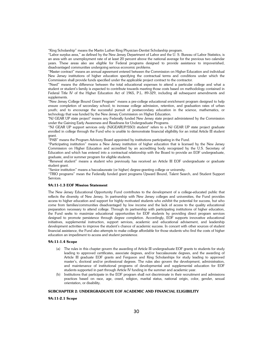"King Scholarship" means the Martin Luther King Physician-Dentist Scholarship program.

"Labor surplus area," as defined by the New Jersey Department of Labor and the U. S. Bureau of Labor Statistics, is an area with an unemployment rate of at least 20 percent above the national average for the previous two calendar years. These areas also are eligible for Federal programs designed to provide assistance to impoverished, disadvantaged communities undergoing serious economic problems.

"Master contract" means an annual agreement entered between the Commission on Higher Education and individual New Jersey institutions of higher education specifying the contractual terms and conditions under which the Commission shall provide funds specified under the applicable project contract to the contractor.

"Need" means the difference between the total educational expenses to attend a particular college and what a student or student's family is expected to contribute towards meeting those costs based on methodology contained in Federal Title IV of the Higher Education Act of 1965, P.L. 89-329, including all subsequent amendments and supplements.

"New Jersey College Bound Grant Program" means a pre-college educational enrichment program designed to help ensure completion of secondary school; to increase college admission, retention, and graduation rates of urban youth; and to encourage the successful pursuit of postsecondary education in the science, mathematics, or technology that was funded by the New Jersey Commission on Higher Education.

"NJ GEAR UP state project" means any Federally funded New Jersey state project administered by the Commission under the Gaining Early Awareness and Readiness for Undergraduate Programs.

"NJ GEAR UP support services only (NJGEARUP/SSO) student" refers to a NJ GEAR UP state project graduate enrolled in college through the Fund who is unable to demonstrate financial eligibility for an initial Article III student grant.

"PAB" means the Program Advisory Board appointed by institutions participating in the Fund.

"Participating institution" means a New Jersey institution of higher education that is licensed by the New Jersey Commission on Higher Education and accredited by an accrediting body recognized by the U.S. Secretary of Education and which has entered into a contractual relationship with the Board to provide an EOF undergraduate, graduate, and/or summer program for eligible students.

"Renewal student" means a student who previously has received an Article III EOF undergraduate or graduate student grant.

"Senior institution" means a baccalaureate (or higher) degree-granting college or university.

"TRIO programs" mean the Federally funded grant programs Upward Bound, Talent Search, and Student Support Services.

### **9A:11-1.3 EOF Mission Statement**

The New Jersey Educational Opportunity Fund contributes to the development of a college-educated public that reflects the diversity of New Jersey. In partnership with New Jersey colleges and universities, the Fund provides access to higher education and support for highly motivated students who exhibit the potential for success, but who come from families/communities disadvantaged by low income and the lack of access to the quality educational preparation necessary to attend college. Through its partnership with participating institutions of higher education, the Fund seeks to maximize educational opportunities for EOF students by providing direct program services designed to promote persistence through degree completion. Accordingly, EOF supports innovative educational initiatives, supplemental instruction, support services, academic and educational advisement, and leadership development activities to improve the student's chance of academic success. In concert with other sources of student financial assistance, the Fund also attempts to make college affordable for those students who find the costs of higher education an impediment to access and student persistence.

### **9A:11-1.4 Scope**

- (a) The rules in this chapter govern the awarding of Article III undergraduate EOF grants to students for study leading to approved certificates, associate degrees, and/or baccalaureate degrees, and the awarding of Article III graduate EOF grants and Ferguson and King Scholarships for study leading to approved master's, doctoral and/or professional degrees. The rules also govern the development, administration, and maintenance of institutional programs of developmental and supplemental education for EOF students supported in part through Article IV funding in the summer and academic year.
- (b) Institutions that participate in the EOF program shall not discriminate in their recruitment and admissions practices based on race, age, creed, religion, marital status, national origin, color, gender, sexual orientation, or disability.

### **SUBCHAPTER 2: UNDERGRADUATE EOF ACADEMIC AND FINANCIAL ELIGIBILITY**

**9A:11-2.1 Scope**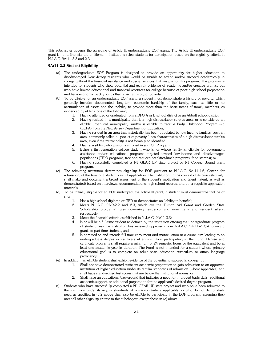This subchapter governs the awarding of Article III undergraduate EOF grants. The Article III undergraduate EOF grant is not a financial aid entitlement. Institutions select students for participation based on the eligibility criteria in N.J.A.C. 9A:11-2.2 and 2.3.

### **9A:11-2.2 Student Eligibility**

- (a) The undergraduate EOF Program is designed to provide an opportunity for higher education to disadvantaged New Jersey residents who would be unable to attend and/or succeed academically in college without the financial assistance and special services that are part of this program. The program is intended for students who show potential and exhibit evidence of academic and/or creative promise but who have limited educational and financial resources for college because of poor high school preparation and have economic backgrounds that reflect a history of poverty.
- (b) To be eligible for an undergraduate EOF grant, a student must demonstrate a history of poverty, which generally includes documented, long-term economic hardship of the family, such as little or no accumulation of assets and the inability to provide more than the basic needs of family members, as evidenced by at least one of the following:
	- 1. Having attended or graduated from a DFG A or B school district or an Abbott school district;
	- 2. Having resided in a municipality that is a high-distress/labor surplus area, or is considered an eligible urban aid municipality, and/or is eligible to receive Early Childhood Program Aid (ECPA) from the New Jersey Department of Education;
	- 3. Having resided in an area that historically has been populated by low-income families; such an area, commonly called a "pocket of poverty," has characteristics of a high-distress/labor surplus area, even if the municipality is not formally so identified;
	- 4. Having a sibling who was or is enrolled in an EOF Program;
	- 5. Being a first-generation college student who is, or whose family is, eligible for government assistance and/or educational programs targeted toward low-income and disadvantaged populations (TRIO programs, free and reduced breakfast/lunch programs, food stamps); or
	- 6. Having successfully completed a NJ GEAR UP state project or NJ College Bound grant program.
- (c) The admitting institution determines eligibility for EOF pursuant to N.J.A.C. 9A:11-4.6, Criteria for admission, at the time of a student's initial application. The institution, in the context of its own selectivity, shall make and document a broad assessment of the student's motivation and talent (latent, as well as demonstrated) based on interviews, recommendations, high school records, and other requisite application materials.
- (d) To be initially eligible for an EOF undergraduate Article III grant, a student must demonstrate that he or she:
	- 1. Has a high school diploma or GED or demonstrates an "ability to benefit";
	- 2. Meets N.J.A.C. 9A:9-2.2 and 2.3, which are the Tuition Aid Grant and Garden State Scholarship programs' rules governing residency and noncitizens and resident aliens, respectively;
	- 3. Meets the financial criteria established in N.J.A.C. 9A:11-2.3;
	- 4. Is or will be a full-time student as defined by the institution offering the undergraduate program of study unless the institution has received approval under N.J.A.C. 9A:11-2.9(b) to award grants to part-time students, and
	- 5. Is admitted to and intends full-time enrollment and matriculation in a curriculum leading to an undergraduate degree or certificate at an institution participating in the Fund. Degree and certificate programs shall require a minimum of 24 semester hours or the equivalent and be at least one academic year in duration. The Fund is not intended for a student whose primary educational goal is to complete an adult basic education curriculum or attain language proficiency.
- (e) In addition, an eligible student shall exhibit evidence of the potential to succeed in college, but:
	- 1. Shall not have demonstrated sufficient academic preparation to gain admission to an approved institution of higher education under its regular standards of admission (where applicable) and shall have standardized test scores that are below the institutional norms; or
	- 2. Shall have an educational background that indicates a need for improved basic skills, additional academic support, or additional preparation for the applicant's desired degree program.
- (f) Students who have successfully completed a NJ GEAR UP state project and who have been admitted to the institution under its regular standards of admission (where applicable) or who do not demonstrate need as specified in (e)2 above shall also be eligible to participate in the EOF program, assuming they meet all other eligibility criteria in this subchapter, except those in (e) above.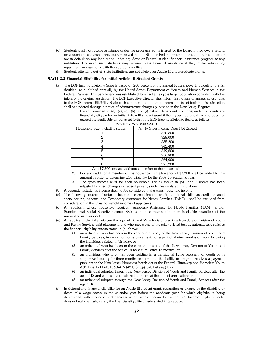- (g) Students shall not receive assistance under the programs administered by the Board if they owe a refund on a grant or scholarship previously received from a State or Federal program through any institution or are in default on any loan made under any State or Federal student financial assistance program at any institution. However, such students may receive State financial assistance if they make satisfactory repayment arrangements with the appropriate office.
- Students attending out-of-State institutions are not eligible for Article III undergraduate grants.

### **9A:11-2.3 Financial Eligibility for Initial Article III Student Grants**

- (a) The EOF Income Eligibility Scale is based on 200 percent of the annual Federal poverty guideline (that is, doubled) as published annually by the United States Department of Health and Human Services in the Federal Register. This benchmark was established to reflect an eligible target population consistent with the intent of the original legislation. The EOF Executive Director shall inform institutions of annual adjustments to the EOF Income Eligibility Scale each summer, and the gross income limits set forth in this subsection shall be updated through a notice of administrative changes published in the New Jersey Register.
	- 1. Except provided in (d), (e), (g), (h), and (i) below, dependent and independent students are financially eligible for an initial Article III student grant if their gross household income does not exceed the applicable amounts set forth in the EOF Income Eligibility Scale, as follows.

| Household Size (including student)                                           | Family Gross Income Does Not Exceed: |
|------------------------------------------------------------------------------|--------------------------------------|
|                                                                              | \$20,800                             |
|                                                                              | \$28,000                             |
|                                                                              | \$35,200                             |
|                                                                              | \$42,400                             |
|                                                                              | \$49,600                             |
|                                                                              | \$56,800                             |
|                                                                              | \$64,000                             |
|                                                                              | \$71,200                             |
| $\cdots$ $\cdots$<br>$\bullet$ $\bullet$ $\bullet$ $\bullet$<br>$\mathbf{r}$ | .<br>$\sim$                          |

|  | Academic Year 2009-2010 |
|--|-------------------------|
|  |                         |

- Add \$7,200 for each additional member of the household.
- 2. For each additional member of the household, an allowance of \$7,200 shall be added to this amount in order to determine EOF eligibility for the 2009-10 academic year.
- 3. The gross income level for each household size as shown in (a) 1and 2 above has been adjusted to reflect changes in Federal poverty guidelines as stated in (a) above.
- (b) A dependent student's income shall not be considered in the gross household income.
- (c) The following sources of untaxed income earned income credit, additional child tax credit, untaxed social security benefits, and Temporary Assistance for Needy Families (TANF) – shall be excluded from consideration in the gross household income of applicants.
- (d) An applicant whose household receives Temporary Assistance for Needy Families (TANF) and/or Supplemental Social Security Income (SSI) as the sole means of support is eligible regardless of the amount of such support.
- (e) An applicant who falls between the ages of 16 and 22, who is or was in a New Jersey Division of Youth and Family Services paid placement, and who meets one of the criteria listed below, automatically satisfies the financial eligibility criteria stated in (a) above:
	- (1) an individual who has been in the care and custody of the New Jersey Division of Youth and Family Services, in an out of home placement, for a period of nine months or more following the individual's sixteenth birthday; or
	- an individual who has been in the care and custody of the New Jersey Division of Youth and Family Services after the age of 14 for a cumulative 18 months; or
	- (3) an individual who is or has been residing in a transitional living program for youth or in supportive housing for three months or more and the facility or program receives a payment pursuant to the New Jersey Homeless Youth Act or the Federal "Runaway and Homeless Youth Act" Title II of Pub. L. 93-415 (42 U.S.C.§§.5701 et seq.)1; or
	- (4) an individual adopted through the New Jersey Division of Youth and Family Services after the age of 12 and who is in a subsidized adoption at the time of application; or
	- (5) an individual adopted through the New Jersey Division of Youth and Family Services after the age of 16.
- (f) In determining financial eligibility for an Article III student grant, separation or divorce or the disability or death of a wage earner in the calendar year before the academic year for which eligibility is being determined, with a concomitant decrease in household income below the EOF Income Eligibility Scale, does not automatically satisfy the financial eligibility criteria stated in (a) above.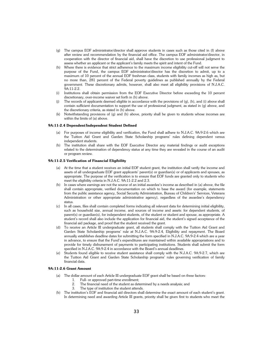- (g) The campus EOF administrator/director shall approve students in cases such as those cited in (f) above after review and recommendation by the financial aid office. The campus EOF administrator/director, in cooperation with the director of financial aid, shall have the discretion to use professional judgment to assess whether an applicant or the applicant's family meets the spirit and intent of the Fund.
- (h) Where there is evidence that strict adherence to the maximum income eligibility cut-off will not serve the purpose of the Fund, the campus EOF administrator/director has the discretion to admit, up to a maximum of 10 percent of the annual EOF freshman class, students with family incomes as high as, but no more than, 281 percent of the Federal poverty guidelines as published annually by the Federal government. These discretionary admits, however, shall also meet all eligibility provisions of N.J.A.C. 9A:11-2.2.
- (i) Institutions shall obtain permission from the EOF Executive Director before exceeding the 10 percent discretionary, over-income waiver set forth in (h) above.
- (i) The records of applicants deemed eligible in accordance with the provisions of  $(q)$ , (h), and (i) above shall contain sufficient documentation to support the use of professional judgment, as stated in (g) above, and the discretionary criteria, as stated in (h) above.
- (k) Notwithstanding provisions of (g) and (h) above, priority shall be given to students whose incomes are within the limits of (a) above.

### **9A:11-2.4 Dependent/Independent Student Defined**

- (a) For purposes of income eligibility and verification, the Fund shall adhere to N.J.A.C. 9A:9-2.6 which are the Tuition Aid Grant and Garden State Scholarship programs' rules defining dependent versus independent students.
- (b) The institution shall share with the EOF Executive Director any material findings or audit exceptions related to the determination of dependency status at any time they are revealed in the course of an audit or program review.

### **9A:11-2.5 Verification of Financial Eligibility**

- (a) At the time that a student receives an initial EOF student grant, the institution shall verify the income and assets of all undergraduate EOF grant applicants' parent(s) or guardian(s) or of applicants and spouses, as appropriate. The purpose of the verification is to ensure that EOF funds are granted only to students who meet the eligibility criteria in N.J.A.C. 9A:11-2.2 and 2.3.
- (b) In cases where earnings are not the source of an initial awardee's income as described in (a) above, the file shall contain appropriate, verified documentation on which to base the award (for example, statements from the public assistance agency, Social Security Administration, Bureau of Children's' Services, Veterans Administration or other appropriate administrative agency), regardless of the awardee's dependency status.
- (c) In all cases, files shall contain completed forms indicating all relevant data for determining initial eligibility, such as household size, annual income, and sources of income and assets: for dependent students, of parent(s) or guardian(s), for independent students, of the student or student and spouse, as appropriate. A student's record shall also include the application for financial aid, the student's signed acceptance of the financial aid package, and proof that the student received the grant.
- (d) To receive an Article III undergraduate grant, all students shall comply with the Tuition Aid Grant and Garden State Scholarship programs' rule at N.J.A.C. 9A:9-2.4, Eligibility and repayment. The Board annually establishes deadline dates for submitting the form specified in N.J.A.C. 9A:9-2.4 which are a year in advance, to ensure that the Fund's expenditures are maintained within available appropriations and to provide for timely disbursement of payments to participating institutions. Students shall submit the form specified in N.J.A.C. 9A:9-2.4 in accordance with the Board's annual deadlines.
- (e) Students found eligible to receive student assistance shall comply with the N.J.A.C. 9A:9-2.7, which are the Tuition Aid Grant and Garden State Scholarship programs' rules governing verification of family financial data.

### **9A:11-2.6 Grant Amount**

- (a) The dollar amount of each Article III undergraduate EOF grant shall be based on three factors:
	- 1. Full- or approved part-time enrollment;
	- 2. The financial need of the student as determined by a needs analysis; and
	- 3. The type of institution the student attends.
- (b) The institution's EOF and financial aid directors shall determine the exact amount of each student's grant. In determining need and awarding Article III grants, priority shall be given first to students who meet the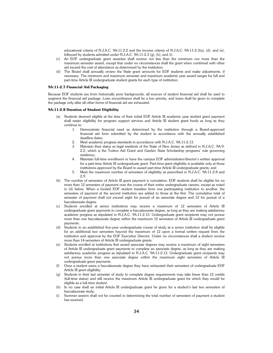educational criteria of N.J.A.C. 9A:11-2.2 and the income criteria of N.J.A.C. 9A:11-2.3(a), (d), and (e), followed by students admitted under N.J.A.C. 9A:11-2.3 (g), (h), and (i).

- (c) An EOF undergraduate grant awardee shall receive not less than the minimum nor more than the maximum semester award, except that under no circumstances shall the grant when combined with other aid exceed the cost of attendance as determined by the institution.
- (d) The Board shall annually review the State grant amounts for EOF students and make adjustments, if necessary. The minimum and maximum semester and maximum academic year award ranges for full and part-time Article III undergraduate student grants for each type of institution.

### **9A:11-2.7 Financial Aid Packaging**

Because EOF students are from historically poor backgrounds, all sources of student financial aid shall be used to augment the financial aid package. Loan encumbrance shall be a low priority, and loans shall be given to complete the package only after all other forms of financial aid are exhausted.

### **9A:11-2.8 Duration of Student Eligibility**

- Students deemed eligible at the time of their initial EOF Article III academic year student grant payment shall retain eligibility for program support services and Article III student grant funds as long as they continue to:
	- 1. Demonstrate financial need as determined by the institution through a Board-approved financial aid form submitted by the student in accordance with the annually established deadline dates;
	- 2. Meet academic progress standards in accordance with N.J.A.C. 9A:11-2.13.
	- 3. Maintain their status as legal residents of the State of New Jersey as defined in N.J.A.C. 9A:9- 2.2, which is the Tuition Aid Grant and Garden State Scholarship programs' rule governing residency;
	- 4. Maintain full-time enrollment or have the campus EOF administrator/director's written approval for a part-time Article III undergraduate grant. Part-time grant eligibility is available only at those institutions approved by the Board to award part-time Article III undergraduate grants; and
	- 5. Meet the maximum number of semesters of eligibility as prescribed in N.J.A.C. 9A:11-2.8 and 2.9.
- (b) The number of semesters of Article III grant payment is cumulative; EOF students shall be eligible for no more than 12 semesters of payment over the course of their entire undergraduate careers, except as noted in (d) below. When a funded EOF student transfers from one participating institution to another, the semesters of payment at the second institution are added to those at the first. The cumulative total of semester of payment shall not exceed eight for pursuit of an associate degree and 12 for pursuit of a baccalaureate degree.
- (c) Students enrolled at senior institutions may receive a maximum of 12 semesters of Article III undergraduate grant payments to complete a baccalaureate degree, as long as they are making satisfactory academic progress as stipulated in N.J.A.C. 9A:11-2.13. Undergraduate grant recipients may not pursue more than one baccalaureate degree within the maximum 12 semesters of Article III undergraduate grant payments.
- (d) Students in an established five-year undergraduate course of study at a senior institution shall be eligible for an additional two semesters beyond the maximum of 12 upon a formal written request from the institution and approval by the EOF Executive Director. Under no circumstances shall a student receive more than 14 semesters of Article III undergraduate grants.
- (e) Students enrolled at institutions that award associate degrees may receive a maximum of eight semesters of Article III undergraduate grant payments to complete an associate degree, as long as they are making satisfactory academic progress as stipulated in N.J.A.C. 9A:11-2.13. Undergraduate grant recipients may not pursue more than one associate degree within the maximum eight semesters of Article III undergraduate grant payments.
- Once a student earns a baccalaureate degree they have exhausted their semesters of undergraduate EOF Article III grant eligibility.
- (g) Students in their last semester of study to complete degree requirements may take fewer than 12 credits (full-time status) and still receive the maximum Article III undergraduate grant for which they would be eligible as a full-time student.
- (h) In no case shall an initial Article III undergraduate grant be given for a student's last two semesters of baccalaureate study.
- (i) Summer session shall not be counted in determining the total number of semesters of payment a student has received.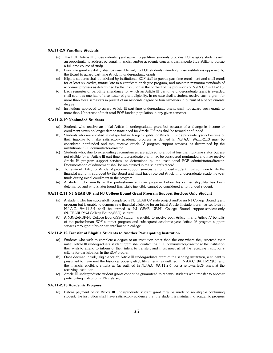#### **9A:11-2.9 Part-time Students**

- (a) The EOF Article III undergraduate grant award to part-time students provides EOF-eligible students with an opportunity to address personal, financial, and/or academic concerns that impede their ability to pursue a full-time course of study.
- (b) Part-time grant eligibility shall be available only to EOF students attending those institutions approved by the Board to award part-time Article III undergraduate grants.
- (c) Eligible students shall be advised by institutional EOF staff to pursue part-time enrollment and shall enroll for at least six credits, matriculate in a certificate or degree program, and maintain minimum standards of academic progress as determined by the institution in the context of the provisions of N.J.A.C. 9A:11-2.13.
- (d) Each semester of part-time attendance for which an Article III part-time undergraduate grant is awarded shall count as one-half of a semester of grant eligibility. In no case shall a student receive such a grant for more than three semesters in pursuit of an associate degree or four semesters in pursuit of a baccalaureate degree.
- (e) Institutions approved to award Article III part-time undergraduate grants shall not award such grants to more than 10 percent of their total EOF-funded population in any given semester.

### **9A:11-2.10 Nonfunded Students**

- (a) Students who receive an initial Article III undergraduate grant but because of a change in income or enrollment status no longer demonstrate need for Article III funds shall be termed nonfunded.
- Students who are enrolled in college but no longer eligible for Article III undergraduate grants because of their inability to make satisfactory academic progress as defined in N.J.A.C. 9A:11-2.13 may be considered nonfunded and may receive Article IV program support services, as determined by the institutional EOF administrator/director.
- (c) Students who, due to extenuating circumstances, are advised to enroll at less than full-time status but are not eligible for an Article III part-time undergraduate grant may be considered nonfunded and may receive Article IV program support services, as determined by the institutional EOF administrator/director. Documentation of advisement shall be maintained in the student's record.
- (d) To retain eligibility for Article IV program support services, a nonfunded student must continue to file the financial aid form approved by the Board and must have received Article III undergraduate academic year funds during initial enrollment in the program.
- A student who enrolls in the prefreshman summer program before his or her eligibility has been determined and who is later found financially ineligible cannot be considered a nonfunded student.

### **9A:11-2.11 NJ GEAR UP and NJ College Bound Grant Program Support Services Only Student**

- (a) A student who has successfully completed a NJ GEAR UP state project and/or an NJ College Bound grant program but is unable to demonstrate financial eligibility for an initial Article III student grant as set forth in N.J.A.C. 9A:11-2.4 shall be termed a NJ GEAR UP/NJ College Bound support-services-only (NJGEARUP/NJ College Bound/SSO) student.
- (b) A NJGEARUP/NJ College Bound/SSO student is eligible to receive both Article III and Article IV benefits of the prefreshman EOF summer program and subsequent academic year Article IV program support services throughout his or her enrollment in college.

### **9A:11-2.12 Transfer of Eligible Students to Another Participating Institution**

- (a) Students who wish to complete a degree at an institution other than the one where they received their initial Article III undergraduate student grant shall contact the EOF administrator/director at the institution they wish to attend to inform of their intent to transfer, and must meet all of the receiving institution's criteria for participation in the EOF program
- (b) Once deemed initially eligible for an Article III undergraduate grant at the sending institution, a student is presumed to have met the historical poverty eligibility criteria (as outlined in N.J.A.C. 9A:11-2.2(b)) and the financial eligibility criteria as (as outlined in N.J.A.C. 9A:11-2.4) for a renewal EOF grant at the receiving institution.
- (c) Article III undergraduate student grants cannot be guaranteed to renewal students who transfer to another participating institution in New Jersey.

### **9A:11-2.13 Academic Progress**

(a) Before payment of an Article III undergraduate student grant may be made to an eligible continuing student, the institution shall have satisfactory evidence that the student is maintaining academic progress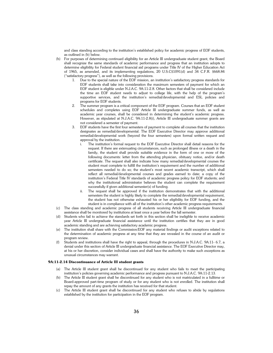and class standing according to the institution's established policy for academic progress of EOF students, as outlined in (b) below.

- (b) For purposes of determining continued eligibility for an Article III undergraduate student grant, the Board shall recognize the same standards of academic performance and progress that an institution adopts to determine eligibility for Federal student financial aid programs under Title IV of the Higher Education Act of 1965, as amended, and its implementing regulations, 20 U.S.C§1091(d) and 34 C.F.R. §668.84 ("satisfactory progress"), as well as the following provisions.
	- 1. Due to the special nature of the EOF mission, an institution's satisfactory progress standards for EOF students shall take into consideration the maximum semesters of payment for which an EOF student is eligible under N.J.A.C. 9A:11-2.8. Other factors that shall be considered include the time an EOF student needs to adjust to college life, with the help of the program's supportive services, and the institution's remedial/developmental and ESL policies and programs for EOF students.
	- 2. The summer program is a critical component of the EOF program. Courses that an EOF student schedules and completes using EOF Article III undergraduate summer funds, as well as academic year courses, shall be considered in determining the student's academic progress. However, as stipulated at N.J.A.C. 9A:11-2.8(i), Article III undergraduate summer grants are not considered a semester of payment.
	- 3. EOF students have the first four semesters of payment to complete all courses that the institution designates as remedial/developmental. The EOF Executive Director may approve additional remedial/developmental work (beyond the four semesters) upon formal written request and approval by the institution.
		- i. The institution's formal request to the EOF Executive Director shall detail reasons for the request. If there are extenuating circumstances, such as prolonged illness or a death in the family, the student shall provide suitable evidence in the form of one or more of the following documents: letter from the attending physician, obituary notice, and/or death certificate. The request shall also indicate how many remedial/developmental courses the student must complete to fulfill the institution's requirement and the number of additional semesters needed to do so; the student's most recent academic transcript, which shall reflect all remedial/developmental courses and grades earned to date; a copy of the institution's Federal Title IV standards of academic progress policy for EOF students; and why the institutional administrator believes the student can complete the requirement successfully if given additional semester(s) of funding.
		- ii. The request shall be approved if the institution demonstrates that with the additional semesters the student is highly likely to complete the remedial/developmental requirement, the student has not otherwise exhausted his or her eligibility for EOF funding, and the student is in compliance with all of the institution's other academic progress requirements.
- (c) The class standing and academic progress of all students receiving Article III undergraduate financial assistance shall be monitored by institutions at least once a year before the fall semester.
- (d) Students who fail to achieve the standards set forth in this section shall be ineligible to receive academic year Article III undergraduate financial assistance until the institution certifies that they are in good academic standing and are achieving satisfactory academic progress.
- (e) The institution shall share with the Commission/EOF any material findings or audit exceptions related to the determination of academic progress at any time that they are revealed in the course of an audit or program review.
- (f) Students and institutions shall have the right to appeal, through the procedures in N.J.A.C. 9A:11- 6.7, a denial under this section of Article III undergraduate financial assistance. The EOF Executive Director may, at his or her discretion, consider individual cases and shall have the authority to make such exceptions as unusual circumstances may warrant.

### **9A:11-2.14 Discontinuance of Article III student grants**

- (a) The Article III student grant shall be discontinued for any student who fails to meet the participating institution's policies governing academic performance and progress pursuant to N.J.A.C. 9A:11-2.13.
- (b) The Article III student grant shall be discontinued for any student who is not matriculated in a fulltime or Board-approved part-time program of study or for any student who is not enrolled. The institution shall repay the amount of any grants the institution has received for that student.
- (c) The Article III student grant shall be discontinued for any student who refuses to abide by regulations established by the institution for participation in the EOF program.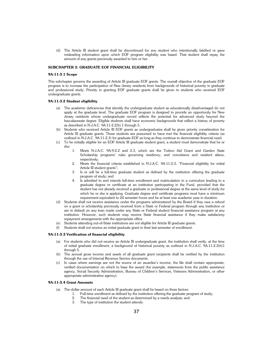(d) The Article III student grant shall be discontinued for any student who intentionally falsified or gave misleading information upon which EOF program eligibility was based. That student shall repay the amount of any grants previously awarded to him or her.

### **SUBCHAPTER 3: GRADUATE EOF FINANCIAL ELIGIBILITY**

### **9A:11-3.1 Scope**

This subchapter governs the awarding of Article III graduate EOF grants. The overall objective of the graduate EOF program is to increase the participation of New Jersey residents from backgrounds of historical poverty in graduate and professional study. Priority in granting EOF graduate grants shall be given to students who received EOF undergraduate grants.

### **9A:11-3.2 Student eligibility**

- (a) The academic deficiencies that identify the undergraduate student as educationally disadvantaged do not apply at the graduate level. The graduate EOF program is designed to provide an opportunity for New Jersey residents whose undergraduate record reflects the potential for advanced study beyond the baccalaureate degree. Eligible students shall have economic backgrounds that reflect a history of poverty as described in N.J.A.C. 9A:11-2.2(b) 1 through 5.
- Students who received Article III EOF grants as undergraduates shall be given priority consideration for Article III graduate grants. These students are presumed to have met the financial eligibility criteria (as outlined in N.J.A.C. 9A:11-2.3) for graduate EOF as long as they continue to demonstrate financial need.
- (c) To be initially eligible for an EOF Article III graduate student grant, a student must demonstrate that he or she:
	- 1. Meets N.J.A.C. 9A:9-2.2 and 2.3, which are the Tuition Aid Grant and Garden State Scholarship programs' rules governing residency, and noncitizens and resident aliens, respectively;
	- 2. Meets the financial criteria established in N.J.A.C. 9A:11-2.3, "Financial eligibility for initial Article III student grants";
	- 3. Is or will be a full-time graduate student as defined by the institution offering the graduate program of study; and
	- 4. Is admitted to and intends full-time enrollment and matriculation in a curriculum leading to a graduate degree or certificate at an institution participating in the Fund, provided that the student has not already received a graduate or professional degree at the same level of study for which he or she is applying. Graduate degree and certificate programs must have a minimum requirement equivalent to 24 semester hours and be at least one academic year in duration.
- (d) Students shall not receive assistance under the programs administered by the Board if they owe a refund on a grant or scholarship previously received from a State or Federal program through any institution or are in default on any loan made under any State or Federal student financial assistance program at any institution. However, such students may receive State financial assistance if they make satisfactory repayment arrangements with the appropriate office.
- (e) Students attending out-of-State institutions are not eligible for Article III graduate grants.
- (f) Students shall not receive an initial graduate grant in their last semester of enrollment.

### **9A:11-3.3 Verification of financial eligibility**

- (a) For students who did not receive an Article III undergraduate grant, the institution shall verify, at the time of initial graduate enrollment, a background of historical poverty as outlined in N.J.A.C. 9A:11-2.2(b)1 through 5.
- (b) The annual gross income and assets of all graduate grant recipients shall be verified by the institution through the use of Internal Revenue Service documents.
- (c) In cases where earnings are not the source of an awardee's income, the file shall contain appropriate, verified documentation on which to base the award (for example, statements from the public assistance agency, Social Security Administration, Bureau of Children's Services, Veterans Administration, or other appropriate administrative agency).

### **9A:11-3.4 Grant Amounts**

- (a) The dollar amount of each Article III graduate grant shall be based on three factors:
	- 1. Full-time enrollment as defined by the institution offering the graduate program of study;
	- 2. The financial need of the student as determined by a needs analysis; and
	- 3. The type of institution the student attends.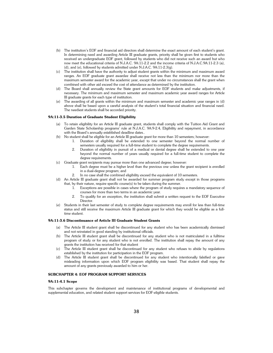- (b) The institution's EOF and financial aid directors shall determine the exact amount of each student's grant. In determining need and awarding Article III graduate grants, priority shall be given first to students who received an undergraduate EOF grant, followed by students who did not receive such an award but who now meet the educational criteria of N.J.A.C. 9A:11-2.2 and the income criteria of N.J.A.C.9A:11-2.3 (a), (d), and (e), followed by students admitted under N.J.A.C.  $9A:11-2.3(\sigma)$ .
- (c) The institution shall have the authority to adjust student grants within the minimum and maximum award ranges. An EOF graduate grant awardee shall receive not less than the minimum nor more than the maximum semester award for the academic year, except that under no circumstances shall the grant when combined with other aid exceed the cost of attendance as determined by the institution.
- (d) The Board shall annually review the State grant amounts for EOF students and make adjustments, if necessary. The minimum and maximum semester and maximum academic year award ranges for Article III graduate grants for each type of institution.
- (e) The awarding of all grants within the minimum and maximum semester and academic year ranges in (d) above shall be based upon a careful analysis of the student's total financial situation and financial need. The neediest students shall be accorded priority.

### **9A:11-3.5 Duration of Graduate Student Eligibility**

- (a) To retain eligibility for an Article III graduate grant, students shall comply with the Tuition Aid Grant and Garden State Scholarship programs' rule at N.J.A.C. 9A:9-2.4, Eligibility and repayment, in accordance with the Board's annually established deadline dates..
- (b) No student shall be eligible for an Article III graduate grant for more than 10 semesters; however:
	- 1. Duration of eligibility shall be extended to one semester beyond the normal number of semesters usually required for a full-time student to complete the degree requirements.
	- 2. Duration of eligibility in pursuit of a medical or dental degree shall be extended to one year beyond the normal number of years usually required for a full-time student to complete the degree requirements.
- (c) Graduate grant recipients may pursue more than one advanced degree; however:
	- 1. Each degree must be a higher level than the previous one unless the grant recipient is enrolled in a dual-degree program; and
	- 2. In no case shall the combined eligibility exceed the equivalent of 10 semesters.
- (d) An Article III graduate grant shall not be awarded for summer program study except in those programs that, by their nature, require specific course(s) to be taken during the summer.
	- 1. Exceptions are possible in cases where the program of study requires a mandatory sequence of courses for more than two terms in an academic year.
	- 2. To qualify for an exception, the institution shall submit a written request to the EOF Executive Director.
- (e) Students in their last semester of study to complete degree requirements may enroll for less than full-time status and still receive the maximum Article III graduate grant for which they would be eligible as a fulltime student.

### **9A:11-3.6 Discontinuance of Article III Graduate Student Grants**

- (a) The Article III student grant shall be discontinued for any student who has been academically dismissed and not reinstated in good standing by institutional officials.
- (b) The Article III student grant shall be discontinued for any student who is not matriculated in a fulltime program of study or for any student who is not enrolled. The institution shall repay the amount of any grants the institution has received for that student
- (c) The Article III student grant shall be discontinued for any student who refuses to abide by regulations established by the institution for participation in the EOF program.
- (d) The Article III student grant shall be discontinued for any student who intentionally falsified or gave misleading information upon which EOF program eligibility was based. That student shall repay the amount of any grants previously awarded to him or her.

### **SUBCHAPTER 4: EOF PROGRAM SUPPORT SERVICES**

### **9A:11-4.1 Scope**

This subchapter governs the development and maintenance of institutional programs of developmental and supplemental education, and related student support services for EOF-eligible students.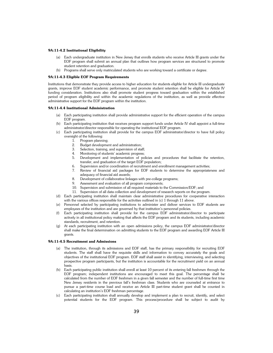### **9A:11-4.2 Institutional Eligibility**

- Each undergraduate institution in New Jersey that enrolls students who receive Article III grants under the EOF program shall submit an annual plan that outlines how program services are structured to promote student retention and graduation.
- (b) Programs shall serve only matriculated students who are working toward a certificate or degree.

### **9A:11-4.3 Eligible EOF Program Requirements**

Institutions that demonstrate they provide access to higher education for students eligible for Article III undergraduate grants, improve EOF student academic performance, and promote student retention shall be eligible for Article IV funding consideration. Institutions also shall promote student progress toward graduation within the established period of program eligibility and within the academic regulations of the institution, as well as provide effective administrative support for the EOF program within the institution.

### **9A:11-4.4 Institutional Administration**

- (a) Each participating institution shall provide administrative support for the efficient operation of the campus EOF program.
- (b) Each participating institution that receives program support funds under Article IV shall appoint a full-time administrator/director responsible for operating the institutional EOF program.
- (c) Each participating institution shall provide for the campus EOF administrator/director to have full policy oversight of the following:
	- 1. Program planning;
	- 2. Budget development and administration;
	- 3. Selection, training, and supervision of staff;
	- 4. Monitoring of students' academic progress;
	- 5. Development and implementation of policies and procedures that facilitate the retention, transfer, and graduation of the target EOF population;
	- 6. Supervision and/or coordination of recruitment and enrollment management activities;
	- 7. Review of financial aid packages for EOF students to determine the appropriateness and adequacy of financial aid awards;
	- 8. Development of collaborative linkages with pre-college programs;
	- 9. Assessment and evaluation of all program components;
	- 10. Supervision and submission of all required materials to the Commission/EOF; and
	- 11. Supervision of all data collection and development of research reports on the program.
- (d) Each participating institution shall maintain clear administrative procedures for cooperative interaction with the various offices responsible for the activities outlined in (c) 1 through 11 above.
- (e) Personnel selected by participating institutions to administer and deliver services to EOF students are employees of the institution and are governed by that institution's personnel policies.
- (f) Each participating institution shall provide for the campus EOF administrator/director to participate actively in all institutional policy making that affects the EOF program and its students, including academic standards, recruitment, and retention.
- (g) At each participating institution with an open admissions policy, the campus EOF administrator/director shall make the final determination on admitting students to the EOF program and awarding EOF Article III grants.

### **9A:11-4.5 Recruitment and Admissions**

- (a) The institution, through its admissions and EOF staff, has the primary responsibility for recruiting EOF students. The staff shall have the requisite skills and information to convey accurately the goals and objectives of the institutional EOF program. EOF staff shall assist in identifying, interviewing, and selecting prospective program participants, but the institution is accountable for the recruitment yield on an annual basis.
- (b) Each participating public institution shall enroll at least 10 percent of its entering fall freshmen through the EOF program; independent institutions are encouraged to meet this goal. The percentage shall be calculated from the number of EOF freshmen in a given fall semester and the number of full-time first time New Jersey residents in the previous fall's freshman class. Students who are counseled at entrance to pursue a part-time course load and receive an Article III part-time student grant shall be counted in calculating an institution's EOF freshman percentage.
- (c) Each participating institution shall annually develop and implement a plan to recruit, identify, and select potential students for the EOF program. This process/procedure shall be subject to audit by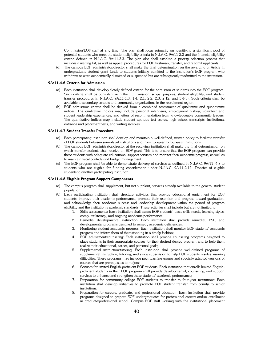Commission/EOF staff at any time. The plan shall focus primarily on identifying a significant pool of potential students who meet the student eligibility criteria in N.J.A.C. 9A:11-2.2 and the financial eligibility criteria defined in N.J.A.C. 9A:11-2.3. The plan also shall establish a priority selection process that includes a waiting list, as well as appeal procedures for EOF freshman, transfer, and readmit applicants.

(d) The campus EOF administrator/director shall make the final determination on the awarding of Article III undergraduate student grant funds to students initially admitted to the institution's EOF program who withdrew or were academically dismissed or suspended but are subsequently readmitted to the institution.

### **9A:11-4.6 Criteria for Admission**

- (a) Each institution shall develop clearly defined criteria for the admission of students into the EOF program. Such criteria shall be consistent with the EOF mission, scope, purpose, student eligibility, and student transfer procedures in N.J.A.C. 9A:11-1.3, 1.4, 2.1, 2.2, 2.3, 2.12, and 5.4(b). Such criteria shall be available to secondary schools and community organizations in the recruitment region.
- (b) EOF admissions criteria shall be derived from a combined assessment of qualitative and quantitative indices. The qualitative indices may include personal interviews, employment history, volunteer and student leadership experiences, and letters of recommendation from knowledgeable community leaders. The quantitative indices may include student aptitude test scores, high school transcripts, institutional entrance and placement tests, and writing samples.

### **9A:11-4.7 Student Transfer Procedure**

- (a) Each participating institution shall develop and maintain a well-defined, written policy to facilitate transfer of EOF students between same-level institutions and from two-year to four-year institutions.
- (b) The campus EOF administrator/director at the receiving institution shall make the final determination on which transfer students shall receive an EOF grant. This is to ensure that the EOF program can provide these students with adequate educational support services and monitor their academic progress, as well as to maintain fiscal controls and budget management.
- (c) The EOF program shall be able to demonstrate delivery of services as outlined in N.J.A.C. 9A:11- 4.8 to students who are eligible for funding consideration under N.J.A.C. 9A:11-2.12, Transfer of eligible students to another participating institution.

### **9A:11-4.8 Eligible Program Support Components**

- (a) The campus program shall supplement, but not supplant, services already available to the general student population.
- (b) Each participating institution shall structure activities that provide educational enrichment for EOF students, improve their academic performance, promote their retention and progress toward graduation, and acknowledge their academic success and leadership development within the period of program eligibility and the institution's academic standards. These activities shall include but are not limited to:
	- 1. Skills assessments: Each institution shall assess EOF students' basic skills needs, learning styles, computer literacy, and ongoing academic performance;
	- 2. Remedial developmental instruction: Each institution shall provide remedial, ESL, and developmental programs designed to remedy academic deficiencies;
	- 3. Monitoring student academic progress: Each institution shall monitor EOF students' academic progress and inform them of their standing in a timely fashion;
	- 4. EOF advisement/counseling: Each institution shall provide counseling programs designed to place students in their appropriate courses for their desired degree program and to help them realize their educational, career, and personal goals;
	- 5. Supplemental instruction/tutoring: Each institution shall provide well-defined programs of supplemental instruction, tutoring, and study supervision to help EOF students resolve learning difficulties. These programs may include peer learning groups and specially adapted versions of courses that are prerequisites to majors;
	- 6. Services for limited-English-proficient EOF students: Each institution that enrolls limited-Englishproficient students in their EOF program shall provide developmental, counseling, and support services to enhance and strengthen these students' academic performance;
	- Preparation for community college EOF students to transfer to four-year institutions: Each institution shall develop initiatives to promote EOF student transfer from county to senior institutions;
	- 8. Preparation for careers, graduate, and professional education: Each institution shall provide programs designed to prepare EOF undergraduates for professional careers and/or enrollment in graduate/professional school. Campus EOF staff working with the institutional placement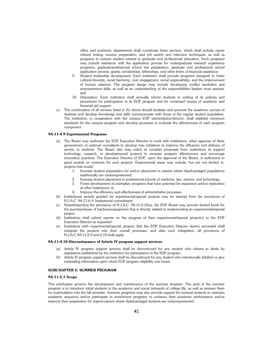office and academic departments shall coordinate these services, which shall include career interest testing, resume preparation, and job search and interview techniques, as well as programs to nurture student interest in graduate and professional education. Such programs may include assistance with the application process for undergraduate research experience programs, graduate/professional school test preparation, graduate and professional school application process, grants, scholarships, fellowships, and other forms of financial assistance;

- 9. Student leadership development: Each institution shall provide programs designed to foster cultural diversity, racial harmony, civic engagement, social responsibility, and the improvement of human relations. The program design may include developing conflict resolution and empowerment skills, as well as an understanding of the responsibilities leaders must assume; and
- 10. Orientation: Each institution shall annually inform students in writing of its policies and procedures for participation in its EOF program and for continued receipt of academic and financial aid support.
- (c) The combination of all services listed in (b) above should facilitate and promote the academic success of students and develop knowledge and skills commensurate with those of the regular student population. The institution, in cooperation with the campus EOF administrator/director, shall establish minimum standards for the campus program and develop processes to evaluate the effectiveness of each program component.

### **9A:11-4.9 Experimental Programs**

- (a) The Board may authorize the EOF Executive Director to work with institutions, other agencies of State government, or external consultants to develop new initiatives to improve the efficiency and delivery of service to students. The Board also may solicit or consider proposals from institutions to support technology, research, or developmental projects to increase program effectiveness and encourage innovative practices. The Executive Director of EOF, upon the approval of the Board, is authorized to grant awards or contracts for such projects. Experimental areas may include, but are not limited to, projects that would:
	- 1. Increase student preparation for and/or placement in careers where disadvantaged populations traditionally are underrepresented;
	- 2. Increase student placement in professional schools of medicine, law, science, and technology;
	- 3. Foster development of exemplary programs that have potential for expansion and/or replication at other institutions; or
	- 4. Improve the efficiency and effectiveness of administrative processes.
- (b) Institutional awards granted for experimental/special projects may be exempt from the provisions of N.J.A.C. 9A:11-6.9, Institutional commitment.
- (c) Notwithstanding the provisions of N.J.A.C. 9A:11-6.10(a), the EOF Board may provide limited funds for the purchase/lease of hardware/equipment that is directly related to implementing an experimental/special project.
- (d) Institutions shall submit reports on the progress of their experimental/special project(s) to the EOF Executive Director as requested.
- (e) Institutions with experimental/special projects that the EOF Executive Director deems successful shall integrate the projects into their overall processes, and after such integration, all provisions of N.J.A.C.9A:11-6.9 and 6.10 shall apply.

### **9A:11-4.10 Discontinuance of Article IV program support services**

- (a) Article IV program support services shall be discontinued for any student who refuses to abide by regulations established by the institution for participation in the EOF program.
- (b) Article IV program support services shall be discontinued for any student who intentionally falsified or give misleading information upon which EOF program eligibility was based.

### **SUBCHAPTER 5: SUMMER PROGRAM**

### **9A:11-5.1 Scope**

This subchapter governs the development and maintenance of the summer program. The goal of the summer program is to introduce initial students to the academic and social demands of college life, as well as prepare them for matriculation into the fall semester. Summer programs may also provide support for renewal students to maintain academic sequence and/or participate in enrichment programs to enhance their academic performance and/or improve their preparation for majors/careers where disadvantaged students are underrepresented.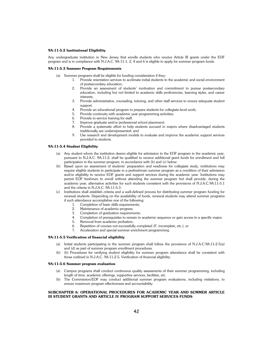### **9A:11-5.2 Institutional Eligibility**

Any undergraduate institution in New Jersey that enrolls students who receive Article III grants under the EOF program and is in compliance with N.J.A.C. 9A:11-1, 2, 4 and 6 is eligible to apply for summer program funds.

### **9A:11-5.3 Summer Program Requirements**

- (a) Summer programs shall be eligible for funding consideration if they:
	- 1. Provide orientation services to acclimate initial students to the academic and social environment of postsecondary education;
	- 2. Provide an assessment of students' motivation and commitment to pursue postsecondary education, including but not limited to academic skills proficiencies, learning styles, and career interests;
	- 3. Provide administrative, counseling, tutoring, and other staff services to ensure adequate student support;
	- 4. Provide an educational program to prepare students for collegiate-level work;
	- 5. Provide continuity with academic year programming activities;
	- 6. Provide in-service training for staff;
	- 7. Improve graduate and/or professional school placement;
	- 8. Provide a systematic effort to help students succeed in majors where disadvantaged students traditionally are underrepresented; and
	- 9. Use research and development models to evaluate and improve the academic support services provided to students.

### **9A:11-5.4 Student Eligibility**

- (a) Any student whom the institution deems eligible for admission to the EOF program in the academic year, pursuant to N.J.A.C. 9A:11-2, shall be qualified to receive additional grant funds for enrollment and full participation in the summer program, in accordance with (b) and (c) below:
- (b) Based upon an assessment of students' preparation and readiness for collegiate study, institutions may require eligible students to participate in a prefreshman summer program as a condition of their admission and/or eligibility to receive EOF grants and support services during the academic year. Institutions may permit EOF freshmen to enroll without attending the summer program but shall provide, during the academic year, alternative activities for such students consistent with the provisions of N.J.A.C.9A:11-5.1 and the criteria in N.J.A.C. 9A:11-5.3.
- (c) Institutions shall establish criteria and a well-defined process for distributing summer program funding for renewal students. Depending on the availability of funds, renewal students may attend summer programs if such attendance accomplishes one of the following:
	- 1. Completion of basic skills requirements;
		- 2. Maintenance of academic progress;
		- 3. Completion of graduation requirements;
		- 4. Completion of prerequisites to remain in academic sequence or gain access to a specific major;
		- Removal from academic probation;
		- 6. Repetition of courses not successfully completed (F, incomplete, etc.); or
		- 7. Acceleration and special summer enrichment programming.

### **9A:11-5.5 Verification of financial eligibility**

- (a) Initial students participating in the summer program shall follow the provisions of N.J.A.C.9A:11-2.5(a) and (d) as part of summer program enrollment procedures.
- (b) (b) Procedures for verifying student eligibility for summer program attendance shall be consistent with those outlined in N.J.A.C. 9A:11-2.5, Verification of financial eligibility.

### **9A:11-5.6 Summer program evaluation**

- (a) Campus programs shall conduct continuous quality assessments of their summer programming, including length of time, academic offerings, supportive services, facilities, etc.
- (b) The Commission/EOF may conduct additional summer program evaluations, including visitations, to ensure maximum program effectiveness and accountability.

### **SUBCHAPTER 6: OPERATIONAL PROCEDURES FOR ACADEMIC YEAR AND SUMMER ARTICLE III STUDENT GRANTS AND ARTICLE IV PROGRAM SUPPORT SERVICES FUNDS**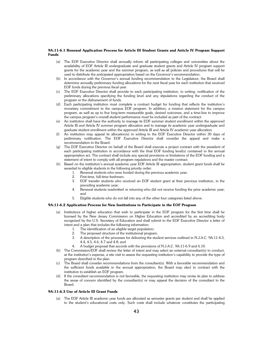### **9A:11-6.1 Renewal Application Process for Article III Student Grants and Article IV Program Support Funds**

- (a) The EOF Executive Director shall annually inform all participating colleges and universities about the availability of EOF Article III undergraduate and graduate student grants and Article IV program support grants for the academic year and the summer program, as well as all policies and procedures that will be used to distribute the anticipated appropriation based on the Governor's recommendation.
- In accordance with the Governor's annual funding recommendation to the Legislature, the Board shall determine annually preliminary funding allocations for the next fiscal year for each institution that received EOF funds during the previous fiscal year.
- (c) The EOF Executive Director shall provide to each participating institution, in writing, notification of the preliminary allocations specifying the funding level and any stipulations regarding the conduct of the program or the disbursement of funds.
- (d) Each participating institution must complete a contract budget for funding that reflects the institution's monetary commitment to the campus EOF program. In addition, a mission statement for the campus program, as well as up to five long-term measurable goals, desired outcomes, and a time-line to improve the campus program's overall student performance must be included as part of the contract.
- (e) An institution shall have the authority to manage its EOF summer student enrollment within the approved Article III and Article IV summer program allocation and to manage its academic year undergraduate and graduate student enrollment within the approved Article III and Article IV academic year allocation.
- (f) An institution may appeal its allocation(s) in writing to the EOF Executive Director within 30 days of preliminary notification. The EOF Executive Director shall consider the appeal and make a recommendation to the Board.
- (g) The EOF Executive Director on behalf of the Board shall execute a project contract with the president of each participating institution in accordance with the final EOF funding level(s) contained in the annual appropriation act. The contract shall include any special provisions or limitations of the EOF funding and a statement of intent to comply with all program regulations and the master contract.
- (h) Based on the institution's annual academic year EOF Article III appropriation, student grant funds shall be awarded to eligible students in the following priority order:
	- 1. Renewal students who were funded during the previous academic year;
	- 2. First-time, full-time freshmen;
	- 3. EOF transfer students who received an EOF student grant at their previous institution, in the preceding academic year;
	- 4. Renewal students readmitted or returning who did not receive funding the prior academic year; and
	- 5. Eligible students who do not fall into any of the other four categories listed above.

### **9A:11-6.2 Application Process for New Institutions to Participate in the EOF Program**

- (a) Institutions of higher education that wish to participate in the EOF program for the first time shall be licensed by the New Jersey Commission on Higher Education and accredited by an accrediting body recognized by the U.S. Secretary of Education and shall submit to the EOF Executive Director a letter of intent and a plan that includes the following information:
	- 1. The identification of an eligible target population;
	- 2. The proposed structure of the institutional program;
	- 3. A description of the processes for delivering the student services outlined in N.J.A.C. 9A:11-4.3, 4.4, 4.5, 4.6, 4.7 and 4.8; and
	- 4. A budget proposal that accords with the provisions of N.J.A.C. 9A:11-6.9 and 6.10.
- (b) The Commission/EOF shall review the letter of intent and may select an external consultant(s) to conduct, at the institution's expense, a site visit to assess the requesting institution's capability to provide the type of program described in the plan.
- (c) The Board shall consider recommendations from the consultant(s). With a favorable recommendation and the sufficient funds available in the annual appropriation, the Board may elect to contract with the institution to establish an EOF program.
- (d) If the consultant recommendation is not favorable, the requesting institution may revise its plan to address the areas of concern identified by the consultant(s) or may appeal the decision of the consultant to the Board.

### **9A:11-6.3 Use of Article III Grant Funds**

(a) The EOF Article III academic year funds are allocated as semester grants per student and shall be applied to the student's educational costs only. Such costs shall include whatever constitutes the participating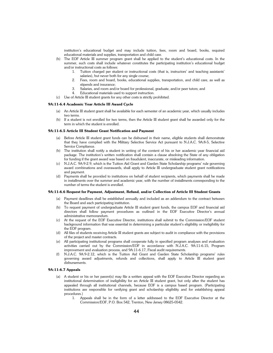institution's educational budget and may include tuition, fees, room and board, books, required educational materials and supplies, transportation and child care.

- (b) The EOF Article III summer program grant shall be applied to the student's educational costs. In the summer, such costs shall include whatever constitutes the participating institution's educational budget and/or instructional costs as follows:
	- 1. Tuition charged per student or instructional costs (that is, instructors' and teaching assistants' salaries), but never both for any single course;
	- 2. Fees, room and board, books, educational supplies, transportation, and child care, as well as stipends and insurance;
	- 3. Salaries, and room and/or board for professional, graduate, and/or peer tutors; and
	- 4. Educational materials used to support instruction.
- (c) Use of Article III student grants for any other costs is strictly prohibited.

### **9A:11-6.4 Academic Year Article III Award Cycle**

- (a) An Article III student grant shall be available for each semester of an academic year, which usually includes two terms.
- (b) If a student is not enrolled for two terms, then the Article III student grant shall be awarded only for the term in which the student is enrolled.

### **9A:11-6.5 Article III Student Grant Notification and Payment**

- (a) Before Article III student grant funds can be disbursed in their name, eligible students shall demonstrate that they have complied with the Military Selective Service Act pursuant to N.J.A.C. 9A:8-5, Selective Service Compliance.
- (b) The institution shall notify a student in writing of the content of his or her academic year financial aid package. The institution's written notification shall contain a clause absolving the State of any obligation for funding if the grant award was based on fraudulent, inaccurate, or misleading information.
- (c) N.J.A.C. 9A:9-2.9, which is the Tuition Aid Grant and Garden State Scholarship programs' rule governing award combinations and overawards, shall apply to Article III undergraduate student grant notifications and payment.
- Payments shall be provided to institutions on behalf of student recipients, which payments shall be made in installments over the summer and academic year, with the number of installments corresponding to the number of terms the student is enrolled.

### **9A:11-6.6 Request for Payment, Adjustment, Refund, and/or Collection of Article III Student Grants**

- (a) Payment deadlines shall be established annually and included as an addendum to the contract between the Board and each participating institution.
- (b) To request payment of undergraduate Article III student grant funds, the campus EOF and financial aid directors shall follow payment procedures as outlined in the EOF Executive Director's annual administrative memorandum.
- (c) At the request of the EOF Executive Director, institutions shall submit to the Commission/EOF student background information that was essential in determining a particular student's eligibility or ineligibility for the EOF program.
- (d) All files of students receiving Article III student grants are subject to audit in compliance with the provisions of the project and master contracts.
- (e) All participating institutional programs shall cooperate fully in specified program analyses and evaluation activities carried out by the Commission/EOF in accordance with N.J.A.C. 9A:11-6.15, Program improvement and evaluation process, and 9A:11-6.17, Fiscal audit requirements.
- (f) N.J.A.C. 9A:9-2.12, which is the Tuition Aid Grant and Garden State Scholarship programs' rules governing award adjustments, refunds and collections, shall apply to Article III student grant disbursements.

### **9A:11-6.7 Appeals**

- (a) A student or his or her parent(s) may file a written appeal with the EOF Executive Director regarding an institutional determination of ineligibility for an Article III student grant, but only after the student has appealed through all institutional channels, because EOF is a campus based program. (Participating institutions are responsible for verifying grant and scholarship eligibility and for establishing appeal procedures.)
	- 1. Appeals shall be in the form of a letter addressed to the EOF Executive Director at the Commission/EOF, P.O. Box 542, Trenton, New Jersey 08625-0542.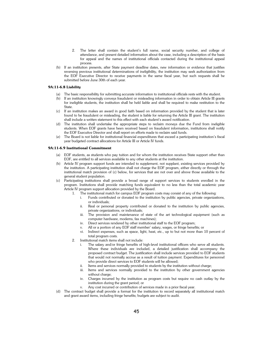- 2. The letter shall contain the student's full name, social security number, and college of attendance, and present detailed information about the case, including a description of the basis for appeal and the names of institutional officials contacted during the institutional appeal process.
- (b) If an institution presents, after State payment deadline dates, new information or evidence that justifies reversing previous institutional determinations of ineligibility, the institution may seek authorization from the EOF Executive Director to receive payments in the same fiscal year, but such requests shall be submitted before June 30th of each year.

### **9A:11-6.8 Liability**

- (a) The basic responsibility for submitting accurate information to institutional officials rests with the student.
- (b) If an institution knowingly conveys fraudulent or misleading information in order to obtain Article III grants for ineligible students, the institution shall be held liable and shall be required to make restitution to the State.
- (c) If an institution makes an award in good faith based on information provided by the student that is later found to be fraudulent or misleading, the student is liable for returning the Article III grant. The institution shall include a written statement to this effect with each student's award notification.
- (d) The institution shall undertake the appropriate steps to reclaim moneys due the Fund from ineligible students. When EOF grants have been received based on fraudulent information, institutions shall notify the EOF Executive Director and shall report on efforts made to reclaim said funds.
- (e) The Board is not liable for institutional financial expenditures that exceed a participating institution's fiscal year budgeted contract allocations for Article III or Article IV funds.

### **9A:11-6.9 Institutional Commitment**

- (a) EOF students, as students who pay tuition and for whom the institution receives State support other than EOF, are entitled to all services available to any other students at the institution.
- (b) Article IV program support funds are intended to supplement, not supplant, existing services provided by the institution. A participating institution shall not charge the EOF program, either directly or through the institutional match provision of (c) below, for services that are not over and above those available to the general student population.
- (c) Participating institutions shall provide a broad range of support services to students enrolled in the program. Institutions shall provide matching funds equivalent to no less than the total academic year Article IV program support allocation provided by the Board.
	- 1. The institutional match for campus EOF program costs may consist of any of the following:
		- i. Funds contributed or donated to the institution by public agencies, private organizations, or individuals;
		- ii. Real or personal property contributed or donated to the institution by public agencies, private organizations, or individuals;
		- iii. The provision and maintenance of state of the art technological equipment (such as computer hardware, modems, fax machines);
		- iv. Direct services rendered by other institutional staff to the EOF program;
		- v. All or a portion of any EOF staff member' salary, wages, or fringe benefits; or
		- vi. Indirect expenses, such as space, light, heat, etc., up to but not more than 10 percent of total program costs.
	- 2. Institutional match items shall not include:
		- The salary and/or fringe benefits of high-level institutional officers who serve all students. Where these individuals are included, a detailed justification shall accompany the proposed contract budget. The justification shall include services provided to EOF students that would not normally accrue as a result of tuition payment. Expenditures for personnel who provide direct services to EOF students will be allowed;
		- ii. Items and services normally provided to students by the institution without charge;
		- iii. Items and services normally provided to the institution by other government agencies without charge:
		- iv. Charges incurred by the institution as program costs but require no cash outlay by the institution during the grant period; or
		- v. Any cost incurred or contribution of services made in a prior fiscal year.
- (d) The contract budget shall provide a format for the institution to record separately all institutional match and grant award items, including fringe benefits; budgets are subject to audit.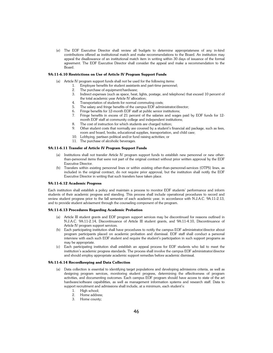(e) The EOF Executive Director shall review all budgets to determine appropriateness of any in-kind contributions offered as institutional match and make recommendations to the Board. An institution may appeal the disallowance of an institutional match item in writing within 30 days of issuance of the formal agreement. The EOF Executive Director shall consider the appeal and make a recommendation to the Board.

### **9A:11-6.10 Restrictions on Use of Article IV Program Support Funds**

- (a) Article IV program support funds shall not be used for the following items:
	- 1. Employee benefits for student assistants and part-time personnel;
		- 2. The purchase of equipment/hardware;
		- 3. Indirect expenses (such as space, heat, lights, postage, and telephone) that exceed 10 percent of the total academic year Article IV allocation;
		- 4. Transportation of students for normal commuting costs;
		- 5. The salary and fringe benefits of the campus EOF administrator/director;
		- 6. Fringe benefits for 12-month EOF staff at public senior institutions;<br>7. Fringe benefits in excess of 21 percent of the salaries and wages
		- Fringe benefits in excess of 21 percent of the salaries and wages paid by EOF funds for 12month EOF staff at community college and independent institutions;
		- 8. The cost of instruction for which students are charged tuition;
		- 9. Other student costs that normally are covered by a student's financial aid package, such as fees, room and board, books, educational supplies, transportation, and child care;
		- 10. Lobbying, partisan political and/or fund raising activities; or
		- 11. The purchase of alcoholic beverages.

### **9A:11-6.11 Transfer of Article IV Program Support Funds**

- (a) Institutions shall not transfer Article IV program support funds to establish new personnel or new otherthan-personnel items that were not part of the original contract without prior written approval by the EOF Executive Director.
- (b) Transfers within existing personnel lines or within existing other-than-personnel-services (OTPS) lines, as included in the original contract, do not require prior approval, but the institution shall notify the EOF Executive Director in writing that such transfers have taken place.

### **9A:11-6.12 Academic Progress**

Each institution shall establish a policy and maintain a process to monitor EOF students' performance and inform students of their academic progress and standing. This process shall include operational procedures to record and review student progress prior to the fall semester of each academic year, in accordance with N.J.A.C. 9A:11-2.13, and to provide student advisement through the counseling component of the program.

### **9A:11-6.13 Procedures Regarding Academic Probation**

- (a) Article III student grants and EOF program support services may be discontinued for reasons outlined in N.J.A.C. 9A:11-2.14, Discontinuance of Article III student grants, and 9A:11-4.10, Discontinuance of Article IV program support services.
- (b) Each participating institution shall have procedures to notify the campus EOF administrator/director about program participants placed on academic probation and dismissal. EOF staff shall conduct a personal interview with each such EOF student and require the student's participation in such support programs as may be appropriate.
- Each participating institution shall establish an appeal process for EOF students who fail to meet the institution's academic progress standards. The process shall involve the campus EOF administrator/director and should employ appropriate academic support remedies before academic dismissal.

### **9A:11-6.14 Recordkeeping and Data Collection**

- (a) Data collection is essential to identifying target populations and developing admissions criteria, as well as designing program services, monitoring student progress, determining the effectiveness of program activities, and documenting outcomes. Each campus EOF program should have access to state of the art hardware/software capabilities, as well as management information systems and research staff. Data to support recruitment and admissions shall include, at a minimum, each student's:
	-
	- 1. High school;<br>2. Home addres Home address;
	- 3. Home county;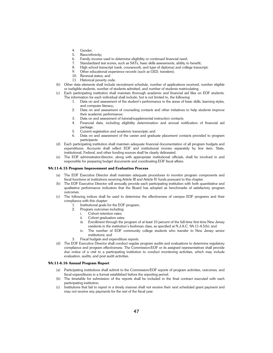- 4. Gender;
- 5. Race/ethnicity;
- 6. Family income used to determine eligibility or continued financial need;
- 7. Standardized test scores, such as SATs, basic skills assessments, ability to benefit;
- 8. High school transcript (rank, coursework, and type of diploma) and college transcript;
- 9. Other educational experience records (such as GED, transfers);
- 10. Renewal status; and
- 11. Historical poverty code.
- (b) Other data elements shall include recruitment schedule, number of applications received, number eligible or ineligible students, number of students admitted, and number of students matriculating.
- (c) Each participating institution shall maintain thorough academic and financial aid files on EOF students. The information for each individual shall include, but is not limited to, the following:
	- 1. Data on and assessment of the student's performance in the areas of basic skills, learning styles, and computer literacy;
	- 2. Data on and assessment of counseling contacts and other initiatives to help students improve their academic performance;
	- 3. Data on and assessment of tutorial/supplemental instruction contacts;
	- 4. Financial data, including eligibility determination and annual notification of financial aid package;
	- 5. Current registration and academic transcripts; and
	- 6. Data on and assessment of the career and graduate placement contacts provided to program participants.
- (d) Each participating institution shall maintain adequate financial documentation of all program budgets and expenditures. Accounts shall reflect EOF and institutional monies separately by line item. State, institutional, Federal, and other funding sources shall be clearly delineated.
- (e) The EOF administrator/director, along with appropriate institutional officials, shall be involved in and responsible for preparing budget documents and coordinating EOF fiscal affairs.

### **9A:11-6.15 Program Improvement and Evaluation Process**

- (a) The EOF Executive Director shall maintain adequate procedures to monitor program components and fiscal functions at institutions receiving Article III and Article IV funds pursuant to this chapter.
- (b) The EOF Executive Director will annually provide each participating institution with both quantitative and qualitative performance indicators that the Board has adopted as benchmarks of satisfactory program outcomes.
- (c) The following indices shall be used to determine the effectiveness of campus EOF programs and their compliance with this chapter:
	- 1. Institutional goals for the EOF program;
	- 2. Program outcomes including:
		- i. Cohort retention rates;
		- ii. Cohort graduation rates;
		- iii. Enrollment through the program of at least 10 percent of the full-time first time New Jersey residents in the institution's freshman class, as specified at N.J.A.C. 9A:11-4.5(b); and
		- iv. The number of EOF community college students who transfer to New Jersey senior institutions; and
	- 3. Fiscal budgets and expenditure reports.
- (d) The EOF Executive Director shall conduct regular program audits and evaluations to determine regulatory compliance and program effectiveness. The Commission/EOF or its assigned representatives shall provide due notice of a visit to a participating institution to conduct monitoring activities, which may include evaluation, audits, and post audit activities.

### **9A:11-6.16 Annual Program Report**

- (a) Participating institutions shall submit to the Commission/EOF reports of program activities, outcomes, and fiscal expenditures in a format established before the reporting period.
- (b) The timetable for submission of the reports shall be included in the final contract executed with each participating institution.
- (c) Institutions that fail to report in a timely manner shall not receive their next scheduled grant payment and may not receive any payments for the rest of the fiscal year.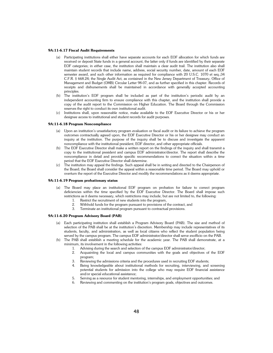### **9A:11-6.17 Fiscal Audit Requirements**

- (a) Participating institutions shall either have separate accounts for each EOF allocation for which funds are received or deposit State funds in a general account, the latter only if funds are identified by their separate EOF categories; in either case, the institution shall maintain a clear audit trail. The institution also shall maintain student records that include name, address, social security number, date, amount of each EOF semester award, and such other information as required for compliance with 20 U.S.C. 1070 et seq.;34 C.F.R. § 668.24; the Single Audit Act, as contained in the New Jersey Department of Treasury, Office of Management and Budget (OMB) Circular Letter 98-07, and as further specified in this chapter. Records of receipts and disbursements shall be maintained in accordance with generally accepted accounting principles.
- (b) The institution's EOF program shall be included as part of the institution's periodic audit by an independent accounting firm to ensure compliance with this chapter, and the institution shall provide a copy of the audit report to the Commission on Higher Education. The Board through the Commission reserves the right to conduct its own institutional audit.
- (c) Institutions shall, upon reasonable notice, make available to the EOF Executive Director or his or her designee access to institutional and student records for audit purposes.

### **9A:11-6.18 Program Noncompliance**

- (a) Upon an institution's unsatisfactory program evaluation or fiscal audit or its failure to achieve the program outcomes contractually agreed upon, the EOF Executive Director or his or her designee may conduct an inquiry at the institution. The purpose of the inquiry shall be to discuss and investigate the apparent noncompliance with the institutional president, EOF director, and other appropriate officials.
- (b) The EOF Executive Director shall make a written report on the findings of the inquiry and shall transmit a copy to the institutional president and campus EOF administrator/director. The report shall describe the noncompliance in detail and provide specific recommendations to correct the situation within a time period that the EOF Executive Director shall determine.
- (c) The institution may appeal the findings. Such appeal shall be in writing and directed to the Chairperson of the Board; the Board shall consider the appeal within a reasonable time period. The Board may uphold or overturn the report of the Executive Director and modify the recommendations as it deems appropriate.

### **9A:11-6.19 Program probationary status**

- (a) The Board may place an institutional EOF program on probation for failure to correct program deficiencies within the time specified by the EOF Executive Director. The Board shall impose such restrictions as it deems necessary, which restrictions may include, but are not limited to, the following:
	- 1. Restrict the recruitment of new students into the program,
	- 2. Withhold funds for the program pursuant to provisions of the contract, and
	- 3. Terminate an institutional program pursuant to contractual provisions.

### **9A:11-6.20 Program Advisory Board (PAB)**

- (a) Each participating institution shall establish a Program Advisory Board (PAB). The size and method of selection of the PAB shall be at the institution's discretion. Membership may include representatives of its students, faculty, and administration, as well as local citizens who reflect the student population being served by the campus program. The campus EOF administrator/director shall serve exofficio on the PAB.
- (b) The PAB shall establish a meeting schedule for the academic year. The PAB shall demonstrate, at a minimum, its involvement in the following activities:
	- 1. Advising during the search and selection of the campus EOF administrator/director;
	- 2. Acquainting the local and campus communities with the goals and objectives of the EOF program;
	- 3. Reviewing the admissions criteria and the procedures used in recruiting EOF students;
	- 4. Being knowledgeable about institutional methods for recruiting, interviewing, and screening potential students for admission into the college who may require EOF financial assistance and/or special educational assistance;
	- 5. Serving as a resource for student mentoring, internships, and employment opportunities; and
	- 6. Reviewing and commenting on the institution's program goals, objectives and outcomes.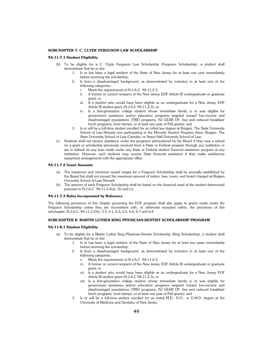### **SUBCHAPTER 7: C. CLYDE FERGUSON LAW SCHOLARSHIP**

### **9A:11-7.1 Student Eligibility**

- (b) To be eligible for a C. Clyde Ferguson Law Scholarship (Ferguson Scholarship), a student shall demonstrate that he or she:
	- 1. Is or has been a legal resident of the State of New Jersey for at least one year immediately before receiving the scholarship;
	- 2. Is from a disadvantaged background, as demonstrated by inclusion in at least one of the following categories::
		- i. Meets the requirements of N.J.A.C. 9A:11-2.3;
		- ii. A former or current recipient of the New Jersey EOF Article III undergraduate or graduate grant; or
		- iii. Is a student who would have been eligible as an undergraduate for a New Jersey EOF Article III student grant (N.J.A.C 9A:11-2.3); or
		- iv. Is a first-generation college student whose immediate family is or was eligible for government assistance and/or education programs targeted toward low-income and disadvantaged populations (TRIO programs, NJ GEAR UP, free and reduced breakfast/ lunch programs, food stamps, or at least one year of Pell grants); and
	- 3. Is or will be a full-time student enrolled for an initial law degree at Rutgers, The State University School of Law-Newark and participating in the Minority Student Program there; Rutgers, The State University School of Law-Camden; or Seton Hall University School of Law.
- (c) Students shall not receive assistance under the programs administered by the Board if they owe a refund on a grant or scholarship previously received from a State or Federal program through any institution or are in default on any loan made under any State or Federal student financial assistance program at any institution. However, such students may receive State financial assistance if they make satisfactory repayment arrangements with the appropriate office.

### **9A:11-7.2 Grant Amounts**

- (a) The maximum and minimum award ranges for a Ferguson Scholarship shall be annually established by the Board but shall not exceed the maximum amount of tuition, fees, room, and board charged at Rutgers University School of Law-Newark.
- (b) The amount of each Ferguson Scholarship shall be based on the financial need of the student determined pursuant to N.J.A.C. 9A:11-3.4(a), (b) and (c).

### **9A:11-7.3 Rules Incorporated by Reference**

The following provisions of this chapter governing the EOF program shall also apply to grants made under the Ferguson Scholarship unless they are inconsistent with, or otherwise excepted within, the provisions of this subchapter: N.J.A.C. 9A:11-3.2(b), 3.5, 6.1, 6.3, 6.5, 6.6, 6.7 and 6.8.

### **SUBCHAPTER 8: MARTIN LUTHER KING PHYSICIAN-DENTIST SCHOLARSHIP PROGRAM**

### **9A:11-8.1 Student Eligibility**

- (a) To be eligible for a Martin Luther King Physician-Dentist Scholarship (King Scholarship), a student shall demonstrate that he or she:
	- 1. Is or has been a legal resident of the State of New Jersey for at least two years immediately before receiving the scholarship;
	- 2. Is from a disadvantaged background, as demonstrated by inclusion in at least one of the following categories::
		- v. Meets the requirements of N.J.A.C. 9A:11-2.3;
		- vi. A former or current recipient of the New Jersey EOF Article III undergraduate or graduate grant; or
		- vii. Is a student who would have been eligible as an undergraduate for a New Jersey EOF Article III student grant (N.J.A.C 9A:11-2.3); or
		- viii. Is a first-generation college student whose immediate family is or was eligible for government assistance and/or education programs targeted toward low-income and disadvantaged populations (TRIO programs, NJ GEAR UP, free and reduced breakfast/ lunch programs, food stamps, or at least one year of Pell grants); and
	- 3. Is or will be a full-time student enrolled for an initial M.D., D.O., or D.M.D. degree at the University of Medicine and Dentistry of New Jersey.